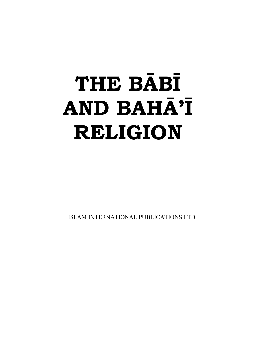# **THE BĀBĪ AND BAHĀ'Ī RELIGION**

ISLAM INTERNATIONAL PUBLICATIONS LTD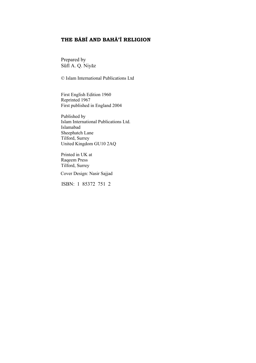#### **THE BĀBĪ AND BAHĀ'Ī RELIGION**

Prepared by Sufi A. Q. Niyaz

© Islam International Publications Ltd

First English Edition 1960 Reprinted 1967 First published in England 2004

Published by Islam International Publications Ltd. Islamabad Sheephatch Lane Tilford, Surrey United Kingdom GU10 2AQ

Printed in UK at Raqeem Press Tilford, Surrey

Cover Design: Nasir Sajjad

ISBN: 1 85372 751 2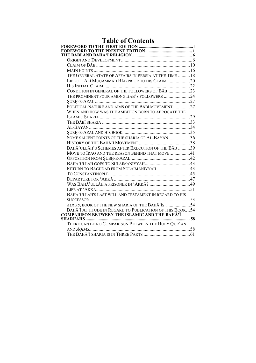| <b>Table of Contents</b>                                |  |
|---------------------------------------------------------|--|
|                                                         |  |
|                                                         |  |
|                                                         |  |
|                                                         |  |
|                                                         |  |
|                                                         |  |
| THE GENERAL STATE OF AFFAIRS IN PERSIA AT THE TIME  18  |  |
| LIFE OF 'ALI MUHAMMAD BAB PRIOR TO HIS CLAIM 20         |  |
|                                                         |  |
| CONDITION IN GENERAL OF THE FOLLOWERS OF BAB23          |  |
| THE PROMINENT FOUR AMONG BAB'S FOLLOWERS 24             |  |
|                                                         |  |
| POLITICAL NATURE AND AIMS OF THE BABI MOVEMENT27        |  |
| WHEN AND HOW WAS THE AMBITION BORN TO ABROGATE THE      |  |
|                                                         |  |
|                                                         |  |
|                                                         |  |
|                                                         |  |
| SOME SALIENT POINTS OF THE SHARIA OF AL-BAYĀN36         |  |
|                                                         |  |
| BAHĀ' ULLĀH'S SCHEMES AFTER EXECUTION OF THE BAB 39     |  |
| MOVE TO IRAQ AND THE REASON BEHIND THAT MOVE41          |  |
|                                                         |  |
|                                                         |  |
| RETURN TO BAGHDAD FROM SULAIMĀNĪYYAH43                  |  |
|                                                         |  |
|                                                         |  |
|                                                         |  |
|                                                         |  |
| BAHĀ' ULLĀH'S LAST WILL AND TESTAMENT IN REGARD TO HIS  |  |
|                                                         |  |
| AQDAS, BOOK OF THE NEW SHARIA OF THE BAHĀ' IS. 54       |  |
| BAHĀ'Ī ATTITUDE IN REGARD TO PUBLICATION OF THIS BOOK54 |  |
| <b>COMPARISON BETWEEN THE ISLAMIC AND THE BAHĀ'Ī</b>    |  |
|                                                         |  |
| THERE CAN BE NO COMPARISON BETWEEN THE HOLY QUR'AN      |  |
|                                                         |  |
|                                                         |  |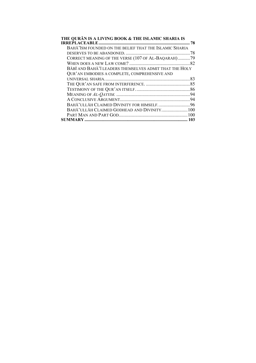| THE QURĀN IS A LIVING BOOK & THE ISLAMIC SHARIA IS      | 78 |
|---------------------------------------------------------|----|
| BAHĀ' ISM FOUNDED ON THE BELIEF THAT THE ISLAMIC SHARIA |    |
|                                                         |    |
| CORRECT MEANING OF THE VERSE (107 OF AL-BAQARAH) 79     |    |
|                                                         |    |
| BĀBĪ AND BAHĀ'Ī LEADERS THEMSELVES ADMIT THAT THE HOLY  |    |
| QUR'AN EMBODIES A COMPLETE, COMPREHENSIVE AND           |    |
|                                                         |    |
|                                                         |    |
|                                                         |    |
| 94                                                      |    |
|                                                         |    |
| BAHĀ' ULLĀH CLAIMED DIVINITY FOR HIMSELF. 96            |    |
| BAHĀ' ULLĀH CLAIMED GODHEAD AND DIVINITY 100            |    |
|                                                         |    |
|                                                         | 03 |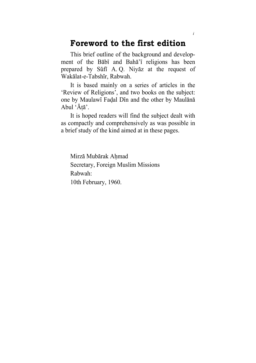# **Foreword to the first edition**

This brief outline of the background and development of the Babi and Baha'i religions has been prepared by Sufi A. Q. Niyaz at the request of Wakalat-e-Tabshir, Rabwah.

It is based mainly on a series of articles in the 'Review of Religions', and two books on the subject: one by Maulawi Fadal Din and the other by Maulana Abul 'Ata'.

It is hoped readers will find the subject dealt with as compactly and comprehensively as was possible in a brief study of the kind aimed at in these pages.

Mirza Mubarak Ahmad Secretary, Foreign Muslim Missions Rabwah: 10th February, 1960.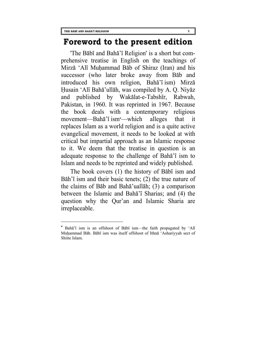$\overline{a}$ 

# **Foreword to the present edition**

'The Babi and Baha'i Religion' is a short but comprehensive treatise in English on the teachings of Mirza 'Ali Muhammad Bab of Shiraz (Iran) and his successor (who later broke away from Bab and introduced his own religion, Baha'i ism) Mirza Husain 'Ali Baha'ullah, was compiled by A. Q. Niyaz and published by Wakalat-e-Tabshir, Rabwah, Pakistan, in 1960. It was reprinted in 1967. Because the book deals with a contemporary religious movement—Baha'i ism**[\\*](#page-6-0)**—which alleges that it replaces Islam as a world religion and is a quite active evangelical movement, it needs to be looked at with critical but impartial approach as an Islamic response to it. We deem that the treatise in question is an adequate response to the challenge of Baha'i ism to Islam and needs to be reprinted and widely published.

The book covers (1) the history of Babi ism and Bāh'i ism and their basic tenets; (2) the true nature of the claims of Bab and Baha'uallah; (3) a comparison between the Islamic and Baha'i Sharias; and (4) the question why the Qur'an and Islamic Sharia are irreplaceable.

<span id="page-6-0"></span>**<sup>\*</sup>** Baha'i ism is an offshoot of Babi ism—the faith propagated by 'Ali Muhammad Bab. Babi ism was itself offshoot of Ithna 'Ashariyyah sect of Shiite Islam.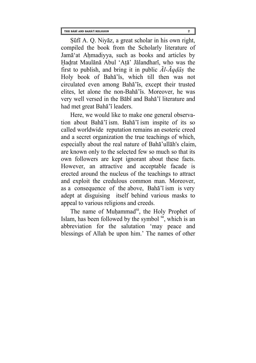Sufi A. Q. Niyaz, a great scholar in his own right, compiled the book from the Scholarly literature of Jama'at Ahmadiyya, such as books and articles by Hadrat Maulana Abul 'Ata' Jalandhari, who was the first to publish, and bring it in public *Al-Aqdas* the Holy book of Baha'is, which till then was not circulated even among Baha'is, except their trusted elites, let alone the non-Baha'is. Moreover, he was very well versed in the Babi and Baha'i literature and had met great Baha'i leaders.

Here, we would like to make one general observation about Baha'i ism. Baha'i ism inspite of its so called worldwide reputation remains an esoteric creed and a secret organization the true teachings of which, especially about the real nature of Baha'ullah's claim, are known only to the selected few so much so that its own followers are kept ignorant about these facts. However, an attractive and acceptable facade is erected around the nucleus of the teachings to attract and exploit the credulous common man. Moreover, as a consequence of the above, Baha'i ism is very adept at disguising itself behind various masks to appeal to various religions and creeds.

The name of Muhammad<sup>sa</sup>, the Holy Prophet of Islam, has been followed by the symbol  $s\ddot{s}$ , which is an abbreviation for the salutation 'may peace and blessings of Allah be upon him.' The names of other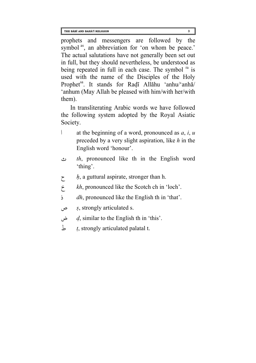prophets and messengers are followed by the symbol<sup>as</sup>, an abbreviation for 'on whom be peace.' The actual salutations have not generally been set out in full, but they should nevertheless, be understood as being repeated in full in each case. The symbol  $<sup>ra</sup>$  is</sup> used with the name of the Disciples of the Holy Prophet<sup>sa</sup>. It stands for Radi Allahu 'anhu/'anha 'anhum (May Allah be pleased with him/with her/with them).

In transliterating Arabic words we have followed the following system adopted by the Royal Asiatic Society.

- ا at the beginning of a word, pronounced as *a*, *i*, *u* preceded by a very slight aspiration, like *h* in the English word 'honour'.
- ث *th*, pronounced like th in the English word 'thing'.
- ح *h*, a guttural aspirate, stronger than h.
- خ *kh*, pronounced like the Scotch ch in 'loch'.
- ذ *dh*, pronounced like the English th in 'that'.
- ص *s*, strongly articulated s.
- ض *d*, similar to the English th in 'this'.
- ط *t*, strongly articulated palatal t.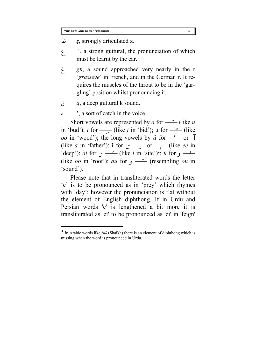ظ *z*, strongly articulated z.

- ع' , a strong guttural, the pronunciation of which must be learnt by the ear.
- غ *gh*, a sound approached very nearly in the r '*grasseye*' in French, and in the German r. It requires the muscles of the throat to be in the 'gargling' position whilst pronouncing it.
- ق *q*, a deep guttural k sound.

 $\overline{a}$ 

 $\epsilon$ , a sort of catch in the voice.

Short vowels are represented by *a* for — — (like *u* Short vowels are represented by *a* for  $\rightarrow$  (like *u* in 'bud'); *i* for  $\rightarrow$  (like *i* in 'bid'); u for  $\rightarrow$  (like in 'bud'); *i* for —— (like *i* in 'bid'); u for  $\frac{1}{\sqrt{2}}$  (like *oo* in 'wood'); the long vowels by  $\bar{a}$  for —— or  $\bar{a}$  $\alpha$  in wood ); the long vowels<br>(like *a* in 'father'); i for  $\alpha$  $\frac{1}{\sqrt{2}}$  or  $\frac{1}{\sqrt{2}}$  (like *ee* in  $\text{`deep'}$ ; *ai* for  $\rightarrow$  (like *i* in 'site') $\cdot$ ; *u* for  $\rightarrow$  (like *oo* in 'root'); *ay* for  $\rightarrow$  (resembling *oy* in  $\text{`deep'}$ ; *ai* for  $\text{`} \longrightarrow$  (like *i* in 'site')'; *a* for  $\text{`} \longrightarrow$  (like *oo* in 'root'); *au* for  $\text{`} \longrightarrow$  (resembling *ou* in 'sound'). 'sound').

Please note that in transliterated words the letter 'e' is to be pronounced as in 'prey' which rhymes with 'day'; however the pronunciation is flat without the element of English diphthong. If in Urdu and Persian words 'e' is lengthened a bit more it is transliterated as 'ei' to be pronounced as 'ei' in 'feign'

<span id="page-9-0"></span><sup>♦</sup> In Arabic words like شيخ) Shaikh) there is an element of diphthong which is missing when the word is pronounced in Urdu.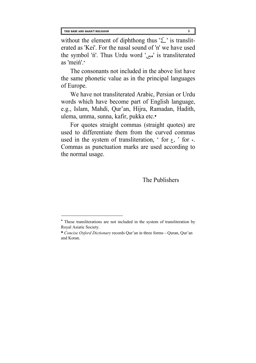$\overline{a}$ 

without the element of diphthong thus  $'\angle'$  is transliterated as 'Kei'. For the nasal sound of 'n' we have used the symbol 'ń'. Thus Urdu word 'مس' is transliterated as 'mein'.**[\\*](#page-10-0)**

The consonants not included in the above list have the same phonetic value as in the principal languages of Europe.

We have not transliterated Arabic, Persian or Urdu words which have become part of English language, e.g., Islam, Mahdi, Qur'an, Hijra, Ramadan, Hadith, ulema, umma, sunna, kafir, pukka etc.**[●](#page-10-1)**

For quotes straight commas (straight quotes) are used to differentiate them from the curved commas used in the system of transliteration, ' for  $\epsilon$ , ' for  $\epsilon$ . Commas as punctuation marks are used according to the normal usage.

The Publishers

<span id="page-10-0"></span>**<sup>\*</sup>** These transliterations are not included in the system of transliteration by Royal Asiatic Society.

<span id="page-10-1"></span>**<sup>●</sup>** *Concise Oxford Dictionary* records Qur'an in three forms—Quran, Qur'an and Koran.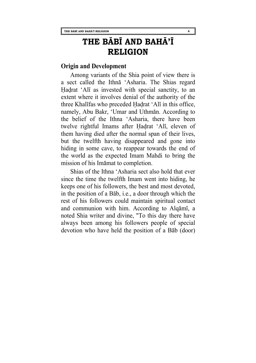# **THE BĀBĪ AND BAHĀ'Ī RELIGION**

# **Origin and Development**

Among variants of the Shia point of view there is a sect called the Ithna 'Asharia. The Shias regard Hadrat 'Ali as invested with special sanctity, to an extent where it involves denial of the authority of the three Khalifas who preceded Hadrat 'Ali in this office, namely, Abu Bakr, 'Umar and Uthman. According to the belief of the Ithna 'Asharia, there have been twelve rightful Imams after Hadrat 'Ali, eleven of them having died after the normal span of their lives, but the twelfth having disappeared and gone into hiding in some cave, to reappear towards the end of the world as the expected Imam Mahdi to bring the mission of his Imamat to completion.

Shias of the Ithna 'Asharia sect also hold that ever since the time the twelfth Imam went into hiding, he keeps one of his followers, the best and most devoted, in the position of a Bab, i.e., a door through which the rest of his followers could maintain spiritual contact and communion with him. According to Alqami, a noted Shia writer and divine, "To this day there have always been among his followers people of special devotion who have held the position of a Bab (door)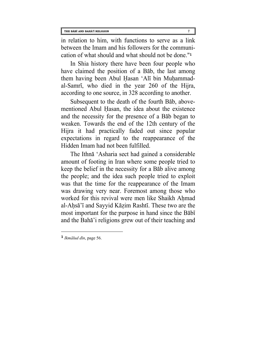in relation to him, with functions to serve as a link between the Imam and his followers for the communication of what should and what should not be done."**[1](#page-12-0)**

In Shia history there have been four people who have claimed the position of a Bab, the last among them having been Abul Hasan 'Ali bin Muhammadal-Samri, who died in the year 260 of the Hijra, according to one source, in 328 according to another.

Subsequent to the death of the fourth Bab, abovementioned Abul Hasan, the idea about the existence and the necessity for the presence of a Bab began to weaken. Towards the end of the 12th century of the Hijra it had practically faded out since popular expectations in regard to the reappearance of the Hidden Imam had not been fulfilled.

The Ithna 'Asharia sect had gained a considerable amount of footing in Iran where some people tried to keep the belief in the necessity for a Bab alive among the people; and the idea such people tried to exploit was that the time for the reappearance of the Imam was drawing very near. Foremost among those who worked for this revival were men like Shaikh Ahmad al-Ahsa'i and Sayyid Kazim Rashti. These two are the most important for the purpose in hand since the Babi and the Baha'i religions grew out of their teaching and

<span id="page-12-0"></span> $\frac{1}{2}$  *Ikmalud din*, page 56.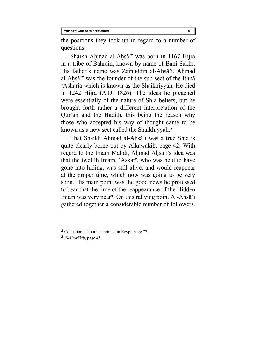the positions they took up in regard to a number of questions.

Shaikh Ahmad al-Ahsa'i was born in 1167 Hijra in a tribe of Bahrain, known by name of Bani Sakhr. His father's name was Zainuddin al-Ahsa'i. Ahmad al-Ahsa'i was the founder of the sub-sect of the Ithna 'Asharia which is known as the Shaikhiyyah. He died in 1242 Hijra (A.D. 1826). The ideas he preached were essentially of the nature of Shia beliefs, but he brought forth rather a different interpretation of the Qur'an and the Hadith, this being the reason why those who accepted his way of thought came to be known as a new sect called the Shaikhiyyah.**[2](#page-13-0)**

That Shaikh Ahmad al-Ahsa'i was a true Shia is quite clearly borne out by Alkawakib, page 42. With regard to the Imam Mahdi, Ahmad Ahsa'i's idea was that the twelfth Imam, 'Askari, who was held to have gone into hiding, was still alive, and would reappear at the proper time, which now was going to be very soon. His main point was the good news he professed to bear that the time of the reappearance of the Hidden Imam was very near**[3](#page-13-1)**. On this rallying point Al-Ahsa'i gathered together a considerable number of followers.

l

<span id="page-13-0"></span>**<sup>2</sup>** Collection of Journals printed in Egypt, page 77.

<span id="page-13-1"></span>**<sup>3</sup>** *Al-Kawakib*, page 45.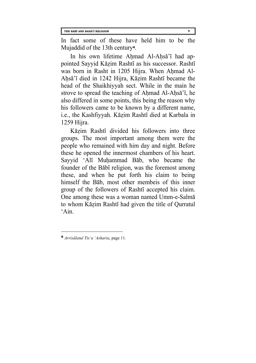In fact some of these have held him to be the Mujaddid of the 13th century**[4](#page-14-0)**.

In his own lifetime Ahmad Al-Ahsa'i had appointed Sayyid Kazim Rashti as his successor. Rashti was born in Rasht in 1205 Hijra. When Ahmad Al-Ahsa'i died in 1242 Hijra, Kazim Rashti became the head of the Shaikhiyyah sect. While in the main he strove to spread the teaching of Ahmad Al-Ahsa'i, he also differed in some points, this being the reason why his followers came to be known by a different name, i.e., the Kashfiyyah. Kazim Rashti died at Karbala in 1259 Hijra.

Kazim Rashti divided his followers into three groups. The most important among them were the people who remained with him day and night. Before these he opened the innermost chambers of his heart. Sayyid 'Ali Muhammad Bab, who became the founder of the Babi religion, was the foremost among these, and when he put forth his claim to being himself the Bab, most other membeis of this inner group of the followers of Rashti accepted his claim. One among these was a woman named Umm-e-Salma to whom Kazim Rashti had given the title of Qurratul  $^{\circ}$ Ain.

<span id="page-14-0"></span>**<sup>4</sup>** *Arrisalatul Tis'a 'Asharia*, page 11.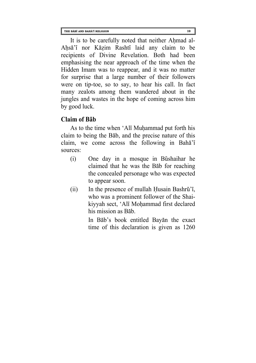It is to be carefully noted that neither Ahmad al-Ahsa'i nor Kazim Rashti laid any claim to be recipients of Divine Revelation. Both had been emphasising the near approach of the time when the Hidden Imam was to reappear, and it was no matter for surprise that a large number of their followers were on tip-toe, so to say, to hear his call. In fact many zealots among them wandered about in the jungles and wastes in the hope of coming across him by good luck.

# **Claim of Bab**

As to the time when 'Ali Muhammad put forth his claim to being the Bab, and the precise nature of this claim, we come across the following in Baha'i sources:

- (i) One day in a mosque in Bushaihar he claimed that he was the Bab for reaching the concealed personage who was expected to appear soon.
- $(ii)$  In the presence of mullah Husain Bashrū'<sub>i</sub>, who was a prominent follower of the Shaikiyyah sect, 'Ali Mohammad first declared his mission as Bab.

In Bab's book entitled Bayan the exact time of this declaration is given as 1260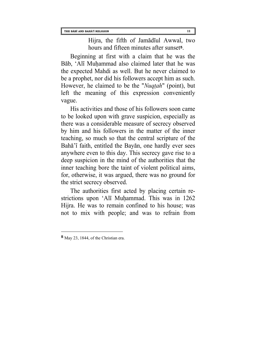Hijra, the fifth of Jamadiul Awwal, two hours and fifteen minutes after sunset**[5](#page-16-0)**.

Beginning at first with a claim that he was the Bab, 'Ali Muhammad also claimed later that he was the expected Mahdi as well. But he never claimed to be a prophet, nor did his followers accept him as such. However, he claimed to be the "*Nuqtah*" (point), but left the meaning of this expression conveniently vague.

His activities and those of his followers soon came to be looked upon with grave suspicion, especially as there was a considerable measure of secrecy observed by him and his followers in the matter of the inner teaching, so much so that the central scripture of the Baha'i faith, entitled the Bayan, one hardly ever sees anywhere even to this day. This secrecy gave rise to a deep suspicion in the mind of the authorities that the inner teaching bore the taint of violent political aims, for, otherwise, it was argued, there was no ground for the strict secrecy observed.

The authorities first acted by placing certain restrictions upon 'Ali Muhammad. This was in 1262 Hijra. He was to remain confined to his house; was not to mix with people; and was to refrain from

<span id="page-16-0"></span>**<sup>5</sup>** May 23, 1844, of the Christian era.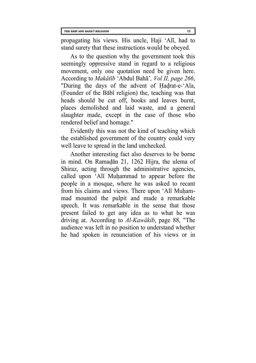propagating his views. His uncle, Haji 'Ali, had to stand surety that these instructions would be obeyed.

As to the question why the government took this seemingly oppressive stand in regard to a religious movement, only one quotation need be given here. According to *Makatib* 'Abdul Baha'*, Vol II, page 266*, "During the days of the advent of Hadrat-e-'Ala, (Founder of the Babi religion) the, teaching was that heads should be cut off, books and leaves burnt, places demolished and laid waste, and a general slaughter made, except in the case of those who rendered belief and homage."

Evidently this was not the kind of teaching which the established government of the country could very well leave to spread in the land unchecked.

Another interesting fact also deserves to be borne in mind. On Ramadan 21, 1262 Hijra, the ulema of Shiraz, acting through the administrative agencies, called upon 'Ali Muhammad to appear before the people in a mosque, where he was asked to recant from his claims and views. There upon 'Ali Muhammad mounted the pulpit and made a remarkable speech. It was remarkable in the sense that those present failed to get any idea as to what he was driving at. According to *Al-Kawakib*, page 88, "The audience was left in no position to understand whether he had spoken in renunciation of his views or in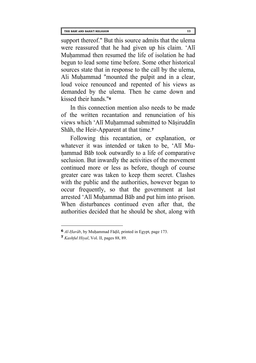support thereof." But this source admits that the ulema were reassured that he had given up his claim. 'Ali Muhammad then resumed the life of isolation he had begun to lead some time before. Some other historical sources state that in response to the call by the ulema, Ali Muhammad "mounted the pulpit and in a clear, loud voice renounced and repented of his views as demanded by the ulema. Then he came down and kissed their hands."**[6](#page-18-0)**

In this connection mention also needs to be made of the written recantation and renunciation of his views which 'Ali Muhammad submitted to Nasiruddin Shah, the Heir-Apparent at that time.**[7](#page-18-1)**

Following this recantation, or explanation, or whatever it was intended or taken to be, 'Ali Muhammad Bab took outwardly to a life of comparative seclusion. But inwardly the activities of the movement continued more or less as before, though of course greater care was taken to keep them secret. Clashes with the public and the authorities, however began to occur frequently, so that the government at last arrested 'Ali Muhammad Bab and put him into prison. When disturbances continued even after that, the authorities decided that he should be shot, along with

l

<span id="page-18-0"></span>**<sup>6</sup>** *Al-Harab*, by Muhammad Fadil, printed in Egypt, page 173.

<span id="page-18-1"></span>**<sup>7</sup>** *Kashful Hiyal*, Vol. II, pages 88, 89.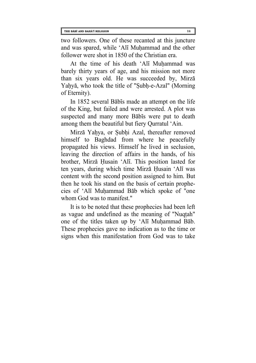two followers. One of these recanted at this juncture and was spared, while 'Ali Muhammad and the other follower were shot in 1850 of the Christian era.

At the time of his death 'Ali Muhammad was barely thirty years of age, and his mission not more than six years old. He was succeeded by, Mirza Yahya, who took the title of "Subh-e-Azal" (Morning of Eternity).

In 1852 several Babis made an attempt on the life of the King, but failed and were arrested. A plot was suspected and many more Babis were put to death among them the beautiful but fiery Qurratul 'Ain.

Mirza Yahya, or Subhi Azal, thereafter removed himself to Baghdad from where he peacefully propagated his views. Himself he lived in seclusion, leaving the direction of affairs in the hands, of his brother, Mirza Husain 'Ali. This position lasted for ten years, during which time Mirza Husain 'Ali was content with the second position assigned to him. But then he took his stand on the basis of certain prophecies of 'Ali Muhammad Bab which spoke of "one whom God was to manifest."

It is to be noted that these prophecies had been left as vague and undefined as the meaning of "Nuqtah" one of the titles taken up by 'Ali Muhammad Bab. These prophecies gave no indication as to the time or signs when this manifestation from God was to take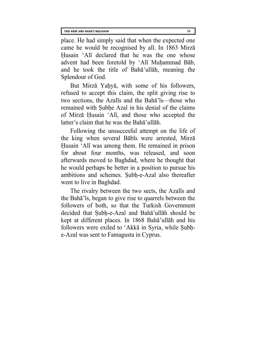place. He had simply said that when the expected one came he would be recognised by all. In 1863 Mirza Husain 'Ali declared that he was the one whose advent had been foretold by 'Ali Muhammad Bab, and he took the title of Baha'ullah, meaning the Splendour of God.

But Mirza Yahya, with some of his followers, refused to accept this claim, the split giving rise to two sections, the Azalis and the Baha'is—those who remained with Subhe Azal in his denial of the claims of Mirza Husain 'Ali, and those who accepted the latter's claim that he was the Baha'ullah.

Following the unsuccesful attempt on the life of the king when several Babis were arrested, Mirza Husain 'Ali was among them. He remained in prison for about four months, was released, and soon afterwards moved to Baghdad, where he thought that he would perhaps be better in a position to pursue his ambitions and schemes. Subh-e-Azal also thereafter went to live in Baghdad.

The rivalry between the two sects, the Azalis and the Baha'is, began to give rise to quarrels between the followers of both, so that the Turkish Government decided that Subh-e-Azal and Baha'ullah should be kept at different places. In 1868 Baha'ullah and his followers were exiled to 'Akka in Syria, while Subhe-Azal was sent to Famagusta in Cyprus.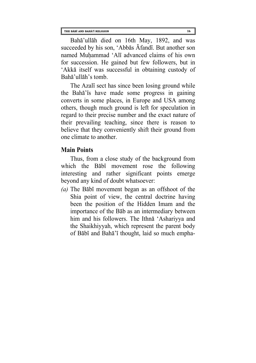Baha'ullah died on 16th May, 1892, and was succeeded by his son, 'Abbas Afandi. But another son named Muhammad 'Ali advanced claims of his own for succession. He gained but few followers, but in 'Akka itself was successful in obtaining custody of Baha'ullah's tomb.

The Azali sect has since been losing ground while the Baha'is have made some progress in gaining converts in some places, in Europe and USA among others, though much ground is left for speculation in regard to their precise number and the exact nature of their prevailing teaching, since there is reason to believe that they conveniently shift their ground from one climate to another.

# **Main Points**

Thus, from a close study of the background from which the Babi movement rose the following interesting and rather significant points emerge beyond any kind of doubt whatsoever:

*(a)* The Babi movement began as an offshoot of the Shia point of view, the central doctrine having been the position of the Hidden Imam and the importance of the Bab as an intermediary between him and his followers. The Ithna 'Ashariyya and the Shaikhiyyah, which represent the parent body of Babi and Baha'i thought, laid so much empha-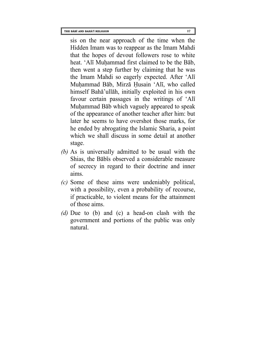sis on the near approach of the time when the Hidden Imam was to reappear as the Imam Mahdi that the hopes of devout followers rose to white heat. 'Ali Muhammad first claimed to be the Bab, then went a step further by claiming that he was the Imam Mahdi so eagerly expected. After 'Ali Muhammad Bab, Mirza Husain 'Ali, who called himself Baha'ullah, initially exploited in his own favour certain passages in the writings of 'Ali Muhammad Bab which vaguely appeared to speak of the appearance of another teacher after him: but later he seems to have overshot those marks, for he ended by abrogating the Islamic Sharia, a point which we shall discuss in some detail at another stage.

- *(b)* As is universally admitted to be usual with the Shias, the Babis observed a considerable measure of secrecy in regard to their doctrine and inner aims.
- *(c)* Some of these aims were undeniably political, with a possibility, even a probability of recourse, if practicable, to violent means for the attainment of those aims.
- *(d)* Due to (b) and (c) a head-on clash with the government and portions of the public was only natural.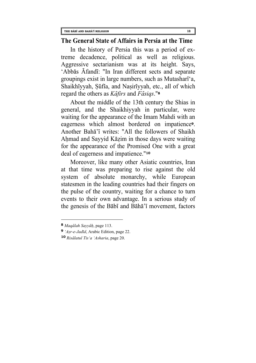#### **The General State of Affairs in Persia at the Time**

In the history of Persia this was a period of extreme decadence, political as well as religious. Aggressive sectarianism was at its height. Says, 'Abbas Afandi: "In Iran different sects and separate groupings exist in large numbers, such as Mutashari'a, Shaikhiyyah, Sufia, and Nasiriyyah, etc., all of which regard the others as *Kafirs* and *Fasiqs*."**[8](#page-23-0)**

About the middle of the 13th century the Shias in general, and the Shaikhiyyah in particular, were waiting for the appearance of the Imam Mahdi with an eagerness which almost bordered on impatience**[9](#page-23-1)**. Another Baha'i writes: "All the followers of Shaikh Ahmad and Sayyid Kāzim in those days were waiting for the appearance of the Promised One with a great deal of eagerness and impatience."**[10](#page-23-2)**

Moreover, like many other Asiatic countries, Iran at that time was preparing to rise against the old system of absolute monarchy, while European statesmen in the leading countries had their fingers on the pulse of the country, waiting for a chance to turn events to their own advantage. In a serious study of the genesis of the Babi and Baha'i movement, factors

<span id="page-23-0"></span>**<sup>8</sup>** *Maqalah Sayyah*, page 113.

<span id="page-23-1"></span>**<sup>9</sup>** *'Asr-e-Jadid*, Arabic Edition, page 22.

<span id="page-23-2"></span>**<sup>10</sup>** *Risalatul Tis'a 'Asharia*, page 20.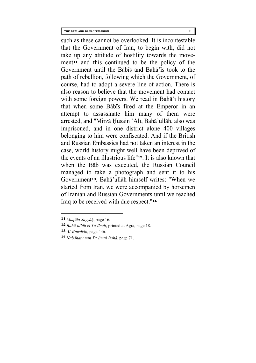such as these cannot be overlooked. It is incontestable that the Government of Iran, to begin with, did not take up any attitude of hostility towards the movement**[11](#page-24-0)** and this continued to be the policy of the Government until the Babis and Baha'is took to the path of rebellion, following which the Government, of course, had to adopt a severe line of action. There is also reason to believe that the movement had contact with some foreign powers. We read in Baha<sup>'</sup>i history that when some Babis fired at the Emperor in an attempt to assassinate him many of them were arrested, and "Mirza Husain 'Ali, Baha'ullah, also was imprisoned, and in one district alone 400 villages belonging to him were confiscated. And if the British and Russian Embassies had not taken an interest in the case, world history might well have been deprived of the events of an illustrious life"**[12](#page-24-1)**. It is also known that when the Bab was executed, the Russian Council managed to take a photograph and sent it to his Government**[13](#page-24-2)**. Baha'ullah himself writes: "When we started from Iran, we were accompanied by horsemen of Iranian and Russian Governments until we reached Iraq to be received with due respect."**[14](#page-24-3)**

l

<span id="page-24-0"></span>**<sup>11</sup>** *Maqala Sayyah*, page 16.

<span id="page-24-1"></span>**<sup>12</sup>** *Baha'ullah ki Ta'limat*, printed at Agra, page 18.

<span id="page-24-2"></span>**<sup>13</sup>** *Al-Kawakib*, page 446.

<span id="page-24-3"></span>**<sup>14</sup>** *Nabdhatu min Ta'limul Baha*, page 71.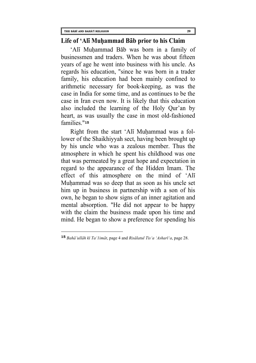$\overline{a}$ 

#### **Life of 'Ali Muhammad Bab prior to his Claim**

'Ali Muhammad Bab was born in a family of businessmen and traders. When he was about fifteen years of age he went into business with his uncle. As regards his education, "since he was born in a trader family, his education had been mainly confined to arithmetic necessary for book-keeping, as was the case in India for some time, and as continues to be the case in Iran even now. It is likely that this education also included the learning of the Holy Qur'an by heart, as was usually the case in most old-fashioned families."**[15](#page-25-0)**

Right from the start 'Ali Muhammad was a follower of the Shaikhiyyah sect, having been brought up by his uncle who was a zealous member. Thus the atmosphere in which he spent his childhood was one that was permeated by a great hope and expectation in regard to the appearance of the Hidden Imam. The effect of this atmosphere on the mind of 'Ali Muhammad was so deep that as soon as his uncle set him up in business in partnership with a son of his own, he began to show signs of an inner agitation and mental absorption. "He did not appear to be happy with the claim the business made upon his time and mind. He began to show a preference for spending his

<span id="page-25-0"></span>**<sup>15</sup>** *Baha'ullah ki Ta'1imat*, page 4 and *Risalatul Tis'a 'Ashari'a*, page 28.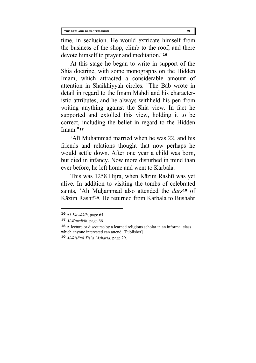time, in seclusion. He would extricate himself from the business of the shop, climb to the roof, and there devote himself to prayer and meditation."**[16](#page-26-0)**

At this stage he began to write in support of the Shia doctrine, with some monographs on the Hidden Imam, which attracted a considerable amount of attention in Shaikhiyyah circles. "The Bab wrote in detail in regard to the Imam Mahdi and his characteristic attributes, and he always withheld his pen from writing anything against the Shia view. In fact he supported and extolled this view, holding it to be correct, including the belief in regard to the Hidden Imam."**[17](#page-26-1)**

'Ali Muhammad married when he was 22, and his friends and relations thought that now perhaps he would settle down. After one year a child was born, but died in infancy. Now more disturbed in mind than ever before, he left home and went to Karbala.

This was 1258 Hijra, when Kazim Rashti was yet alive. In addition to visiting the tombs of celebrated saints, 'Ali Muhammad also attended the *dars***[18](#page-26-2)** of Kazim Rashti**[19](#page-26-3)**. He returned from Karbala to Bushahr

<span id="page-26-0"></span>**<sup>16</sup>** A*l-Kawakib*, page 64.

<span id="page-26-1"></span>**<sup>17</sup>** *Al-Kawakib*, page 66.

<span id="page-26-2"></span>**<sup>18</sup>** A lecture or discourse by a learned religious scholar in an informal class which anyone interested can attend. [Publisher]

<span id="page-26-3"></span>**<sup>19</sup>** *Al-Risatul Tis'a 'Asharia*, page 29.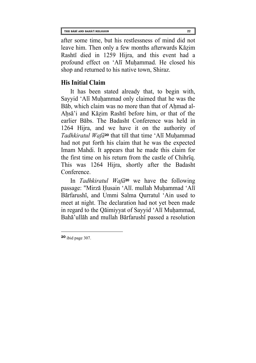after some time, but his restlessness of mind did not leave him. Then only a few months afterwards Kazim Rashti died in 1259 Hijra, and this event had a profound effect on 'Ali Muhammad. He closed his shop and returned to his native town, Shiraz.

# **His Initial Claim**

It has been stated already that, to begin with, Sayyid 'Ali Muhammad only claimed that he was the Bab, which claim was no more than that of Ahmad al-Ahsa'i and Kazim Rashti before him, or that of the earlier Babs. The Badasht Conference was held in 1264 Hijra, and we have it on the authority of *Tadhkiratul Wafa***[20](#page-27-0)** that till that time 'Ali Muhammad had not put forth his claim that he was the expected Imam Mahdi. It appears that he made this claim for the first time on his return from the castle of Chihriq. This was 1264 Hijra, shortly after the Badasht Conference.

In *Tadhkiratul Wafa***20** we have the following passage: "Mirza Husain 'Ali. mullah Muhammad 'Ali Barfarushi, and Ummi Salma Qurratul 'Ain used to meet at night. The declaration had not yet been made in regard to the Qaimiyyat of Sayyid 'Ali Muhammad, Baha'ullah and mullah Barfarushi passed a resolution

<span id="page-27-0"></span>**<sup>20</sup>** ibid page 307.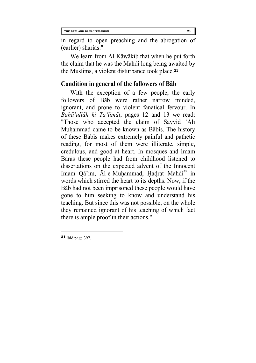in regard to open preaching and the abrogation of (earlier) sharias."

We learn from Al-Kāwākib that when he put forth the claim that he was the Mahdi long being awaited by the Muslims, a violent disturbance took place.**[21](#page-28-0)**

# **Condition in general of the followers of Bab**

With the exception of a few people, the early followers of Bab were rather narrow minded, ignorant, and prone to violent fanatical fervour. In *Baha'ullah ki Ta'limat*, pages 12 and 13 we read: "Those who accepted the claim of Sayyid 'Ali Muhammad came to be known as Babis. The history of these Babis makes extremely painful and pathetic reading, for most of them were illiterate, simple, credulous, and good at heart. In mosques and Imam Baras these people had from childhood listened to dissertations on the expected advent of the Innocent Imam Qā'im, Al-e-Muhammad, Hadrat Mahdi<sup>as</sup> in words which stirred the heart to its depths. Now, if the Bab had not been imprisoned these people would have gone to him seeking to know and understand his teaching. But since this was not possible, on the whole they remained ignorant of his teaching of which fact there is ample proof in their actions."

<span id="page-28-0"></span>**<sup>21</sup>** ibid page 397.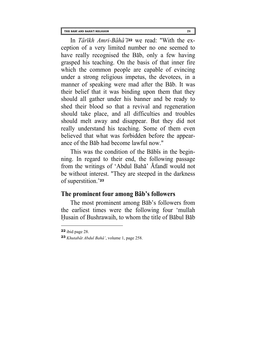In *Tarikh Amri-Baha'i***[22](#page-29-0)** we read: "With the exception of a very limited number no one seemed to have really recognised the Bab, only a few having grasped his teaching. On the basis of that inner fire which the common people are capable of evincing under a strong religious impetus, the devotees, in a manner of speaking were mad after the Bab. It was their belief that it was binding upon them that they should all gather under his banner and be ready to shed their blood so that a revival and regeneration should take place, and all difficulties and troubles should melt away and disappear. But they did not really understand his teaching. Some of them even believed that what was forbidden before the appearance of the Bab had become lawful now."

This was the condition of the Babis in the beginning. In regard to their end, the following passage from the writings of 'Abdul Baha' Afandi would not be without interest. "They are steeped in the darkness of superstition.'**[23](#page-29-1)**

# **The prominent four among Bab's followers**

The most prominent among Bab's followers from the earliest times were the following four 'mullah Husain of Bushrawaih, to whom the title of Babul Bab

l

<span id="page-29-0"></span>**<sup>22</sup>** ibid page 28.

<span id="page-29-1"></span>**<sup>23</sup>** *Khutabat Abdul Baha'*, volume 1, page 258.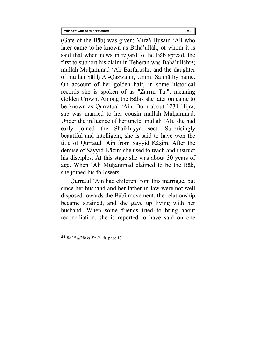(Gate of the Bab) was given; Mirza Husain 'Ali who later came to he known as Baha'ullah, of whom it is said that when news in regard to the Bab spread, the first to support his claim in Teheran was Baha'ullah**[24](#page-30-0)**; mullah Muhammad 'Ali Barfarushi; and the daughter of mullah Salih Al-Qazwaini, Ummi Salma by name. On account of her golden hair, in some historical records she is spoken of as "Zarrin Taj", meaning Golden Crown. Among the Babis she later on came to be known as Qurratual 'Ain. Born about 1231 Hijra, she was married to her cousin mullah Muhammad. Under the influence of her uncle, mullah 'Ali, she had early joined the Shaikhiyya sect. Surprisingly beautiful and intelligent, she is said to have won the title of Qurratul 'Ain from Sayyid Kazim. After the demise of Sayyid Kazim she used to teach and instruct his disciples. At this stage she was about 30 years of age. When 'Ali Muhammad claimed to be the Bab, she joined his followers.

Qurratul 'Ain had children from this marriage, but since her husband and her father-in-law were not well disposed towards the Babi movement, the relationship became strained, and she gave up living with her husband. When some friends tried to bring about reconciliation, she is reported to have said on one

<span id="page-30-0"></span>**<sup>24</sup>** *Baha'ullah ki Ta'limat*, page 17.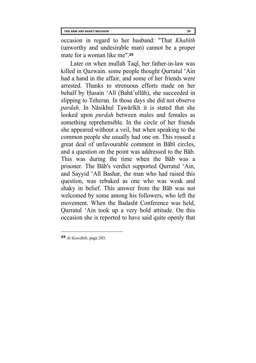occasion in regard to her husband: "That *Khabith* (unworthy and undesirable man) cannot be a proper mate for a woman like me"<sup>[25](#page-31-0)</sup>

Later on when mullah Taqi, her father-in-law was killed in Qazwain. some people thought Qurratul 'Ain had a hand in the affair, and some of her friends were arrested. Thanks to strenuous efforts made on her behalf by Husain 'Ali (Baha'ullah), she succeeded in slipping to Teheran. In those days she did not observe *pardah*. In Nasikhul Tawarikh it is stated that she looked upon *purdah* between males and females as something reprehensible. In the circle of her friends she appeared without a veil, but when speaking to the common people she usually had one on. This roused a great deal of unfavourable comment in Babi circles, and a question on the point was addressed to the Bab. This was during the time when the Bab was a prisoner. The Bab's verdict supported Qurratul 'Ain, and Sayyid 'Ali Bashar, the man who had raised this question, was rebuked as one who was weak and shaky in belief. This answer from the Bab was not welcomed by some among his followers, who left the movement. When the Badasht Conference was held, Qurratul 'Ain took up a very bold attitude. On this occasion she is reported to have said quite openly that

<span id="page-31-0"></span>**<sup>25</sup>** *Al-Kawakib*, page 203.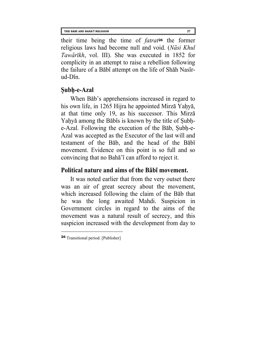their time being the time of *fatrat***[26](#page-32-0)** the former religious laws had become null and void. (*Nasi Khul Tawarikh*, vol. III). She was executed in 1852 for complicity in an attempt to raise a rebellion following the failure of a Babi attempt on the life of Shah Nasirud-Din.

# **Subh-e-Azal**

When B<sub>ab</sub>'s apprehensions increased in regard to his own life, in 1265 Hijra he appointed Mirza Yahya, at that time only 19, as his successor. This Mirza Yahya among the Babis is known by the title of Subhe-Azal. Following the execution of the Bab, Subh-e-Azal was accepted as the Executor of the last will and testament of the Bab, and the head of the Babi movement. Evidence on this point is so full and so convincing that no Baha'i can afford to reject it.

# **Political nature and aims of the Babi movement.**

It was noted earlier that from the very outset there was an air of great secrecy about the movement, which increased following the claim of the Bab that he was the long awaited Mahdi. Suspicion in Government circles in regard to the aims of the movement was a natural result of secrecy, and this suspicion increased with the development from day to

<span id="page-32-0"></span>**<sup>26</sup>** Transitional period. [Publisher]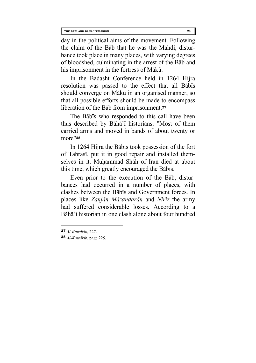day in the political aims of the movement. Following the claim of the Bab that he was the Mahdi, disturbance took place in many places, with varying degrees of bloodshed, culminating in the arrest of the Bab and his imprisonment in the fortress of Maku.

In the Badasht Conference held in 1264 Hijra resolution was passed to the effect that all Babis should converge on Mākū in an organised manner, so that all possible efforts should be made to encompass liberation of the Bab from imprisonment.**[27](#page-33-0)**

The Babis who responded to this call have been thus described by Baha'i historians: "Most of them carried arms and moved in bands of about twenty or more"**[28](#page-33-1)**.

In 1264 Hijra the Babis took possession of the fort of Tabrasi, put it in good repair and installed themselves in it. Muhammad Shah of Iran died at about this time, which greatly encouraged the Babis.

Even prior to the execution of the Bab, disturbances had occurred in a number of places, with clashes between the Babis and Government forces. In places like *Zanjan Mazandaran* and *Niriz* the army had suffered considerable losses. According to a Baha'i historian in one clash alone about four hundred

l

<span id="page-33-0"></span>**<sup>27</sup>** *Al-Kawakib*, 227.

<span id="page-33-1"></span>**<sup>28</sup>** *Al-Kawakib*, page 225.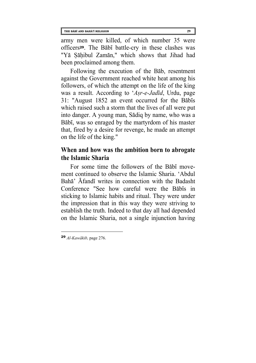army men were killed, of which number 35 were officers**[29](#page-34-0)**. The Babi battle-cry in these clashes was "Ya Sahibul Zaman," which shows that Jihad had been proclaimed among them.

Following the execution of the Bab, resentment against the Government reached white heat among his followers, of which the attempt on the life of the king was a result. According to '*Asr-e-Jadid*, Urdu, page 31: "August 1852 an event occurred for the Babis which raised such a storm that the lives of all were put into danger. A young man, Sadiq by name, who was a Babi, was so enraged by the martyrdom of his master that, fired by a desire for revenge, he made an attempt on the life of the king."

# **When and how was the ambition born to abrogate the Islamic Sharia**

For some time the followers of the Babi movement continued to observe the Islamic Sharia. 'Abdul Baha' Afandi writes in connection with the Badasht Conference "See how careful were the Babis in sticking to Islamic habits and ritual. They were under the impression that in this way they were striving to establish the truth. Indeed to that day all had depended on the Islamic Sharia, not a single injunction having

<span id="page-34-0"></span>**<sup>29</sup>** *Al-Kawakib,* page 276.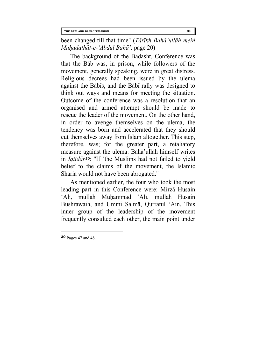been changed till that time" (*Tarikh Baha'ullah mein Muhadathat-e-'Abdul Baha',* page 20)

The background of the Badasht. Conference was that the Bab was, in prison, while followers of the movement, generally speaking, were in great distress. Religious decrees had been issued by the ulema against the Babis, and the Babi rally was designed to think out ways and means for meeting the situation. Outcome of the conference was a resolution that an organised and armed attempt should be made to rescue the leader of the movement. On the other hand, in order to avenge themselves on the ulema, the tendency was born and accelerated that they should cut themselves away from Islam altogether. This step, therefore, was; for the greater part, a retaliatory measure against the ulema: Baha'ullah himself writes in *Iqtidar[30](#page-35-0)*: "If 'the Muslims had not failed to yield belief to the claims of the movement, the Islamic Sharia would not have been abrogated."

As mentioned earlier, the four who took the most leading part in this Conference were: Mirza Husain 'Ali, mullah Muhammad 'Ali, mullah Husain Bushrawaih, and Ummi Salma, Qurratul 'Ain. This inner group of the leadership of the movement frequently consulted each other, the main point under

<span id="page-35-0"></span>**<sup>30</sup>** Pages 47 and 48.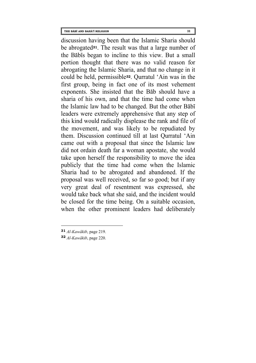discussion having been that the Islamic Sharia should be abrogated**[31](#page-36-0)**. The result was that a large number of the Babis began to incline to this view. But a small portion thought that there was no valid reason for abrogating the Islamic Sharia, and that no change in it could be held, permissible**[32](#page-36-1)**. Qurratul 'Ain was in the first group, being in fact one of its most vehement exponents. She insisted that the Bab should have a sharia of his own, and that the time had come when the Islamic law had to be changed. But the other Babi leaders were extremely apprehensive that any step of

this kind would radically displease the rank and file of the movement, and was likely to be repudiated by them. Discussion continued till at last Qurratul 'Ain came out with a proposal that since the Islamic law did not ordain death far a woman apostate, she would take upon herself the responsibility to move the idea publicly that the time had come when the Islamic Sharia had to be abrogated and abandoned. If the proposal was well received, so far so good; but if any very great deal of resentment was expressed, she would take back what she said, and the incident would be closed for the time being. On a suitable occasion, when the other prominent leaders had deliberately

<span id="page-36-0"></span>**<sup>31</sup>** *Al-Kawakib*, page 219.

<span id="page-36-1"></span>**<sup>32</sup>** *Al-Kawakib*, page 220.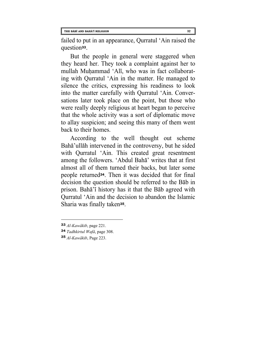failed to put in an appearance, Qurratul 'Ain raised the question**[33](#page-37-0)**.

But the people in general were staggered when they heard her. They took a complaint against her to mullah Muhammad 'Ali, who was in fact collaborating with Qurratul 'Ain in the matter. He managed to silence the critics, expressing his readiness to look into the matter carefully with Qurratul 'Ain. Conversations later took place on the point, but those who were really deeply religious at heart began to perceive that the whole activity was a sort of diplomatic move to allay suspicion; and seeing this many of them went back to their homes.

According to the well thought out scheme Baha'ullah intervened in the controversy, but he sided with Qurratul 'Ain. This created great resentment among the followers. 'Abdul Baha' writes that at first almost all of them turned their backs, but later some people returned**[34](#page-37-1)**. Then it was decided that for final decision the question should be referred to the Bab in prison. Baha'i history has it that the Bab agreed with Qurratul 'Ain and the decision to abandon the Islamic Sharia was finally taken**[35](#page-37-2)**.

<span id="page-37-0"></span>**<sup>33</sup>** *Al-Kawakib*, page 221.

<span id="page-37-1"></span>**<sup>34</sup>** *Tadhkirtul Wafa*, page 308.

<span id="page-37-2"></span>**<sup>35</sup>** *Al-Kawakib*, Page 223.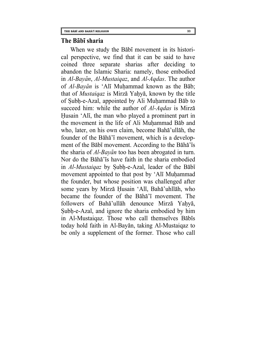#### **The Babi sharia**

When we study the Babi movement in its historical perspective, we find that it can be said to have coined three separate sharias after deciding to abandon the Islamic Sharia: namely, those embodied in *Al-Bayan*, *Al-Mustaiqaz*, and *Al-Aqdas*. The author of *Al-Bayan* is 'Ali Muhammad known as the Bab; that of *Mustaiqaz* is Mirza Yahya, known by the title of Subh-e-Azal, appointed by Ali Muhammad Bab to succeed him: while the author of *Al-Aqdas* is Mirza Husain 'Ali, the man who played a prominent part in the movement in the life of Ali Muhammad Bab and who, later, on his own claim, become Baha'ullah, the founder of the Baha'i movement, which is a development of the Babi movement. According to the Baha'is the sharia of *Al-Bayan* too has been abrogated in turn. Nor do the Baha'is have faith in the sharia embodied in *Al-Mustaiqaz* by Subh-e-Azal, leader of the Babi movement appointed to that post by 'Ali Muhammad the founder, but whose position was challenged after some years by Mirza Husain 'Ali, Baha'uhllah, who became the founder of the Baha'i movement. The followers of Baha'ullah denounce Mirza Yahya, Subh-e-Azal, and ignore the sharia embodied by him in Al-Mustaiqaz. Those who call themselves Babis today hold faith in Al-Bayan, taking Al-Mustaiqaz to be only a supplement of the former. Those who call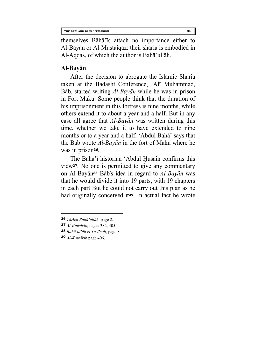themselves Baha'is attach no importance either to Al-Bayan or Al-Mustaiqaz: their sharia is embodied in Al-Aqdas, of which the author is Baha'ullah.

# **Al-Bayan**

After the decision to abrogate the Islamic Sharia taken at the Badasht Conference, 'Ali Muhammad, Bab, started writing *Al-Bayan* while he was in prison in Fort Maku. Some people think that the duration of his imprisonment in this fortress is nine months, while others extend it to about a year and a half. But in any case all agree that *Al-Bayan* was written during this time, whether we take it to have extended to nine months or to a year and a half. 'Abdul Baha' says that the Bab wrote *Al-Bayan* in the fort of Maku where he was in prison**[36](#page-39-0)**.

The Baha'i historian 'Abdul Husain confirms this view**[37](#page-39-1)**. No one is permitted to give any commentary on Al-Bayan**[38](#page-39-2)** Bab's idea in regard to *Al-Bayan* was that he would divide it into 19 parts, with 19 chapters in each part But he could not carry out this plan as he had originally conceived it**[39](#page-39-3)**. In actual fact he wrote

<span id="page-39-0"></span>**<sup>36</sup>** *Tarikh Baha'ullah*, page 2.

<span id="page-39-1"></span>**<sup>37</sup>** *Al-Kawakib*, pages 382, 405.

<span id="page-39-2"></span>**<sup>38</sup>** *Baha'ullah ki Ta'limat*, page 8.

<span id="page-39-3"></span>**<sup>39</sup>** *Al-Kawakib* page 406.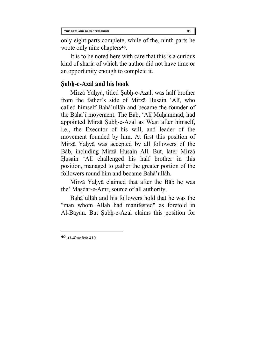only eight parts complete, while of the, ninth parts he wrote only nine chapters**[40](#page-40-0)**.

It is to be noted here with care that this is a curious kind of sharia of which the author did not have time or an opportunity enough to complete it.

# **Subh-e-Azal and his book**

Mirza Yahya, titled Subh-e-Azal, was half brother from the father's side of Mirza Husain 'Ali, who called himself Baha'ullah and became the founder of the Baha'i movement. The Bab, 'Ali Muhammad, had appointed Mirza Subh-e-Azal as Wasi after himself, i.e., the Executor of his will, and leader of the movement founded by him. At first this position of Mirza Yahya was accepted by all followers of the Bab, including Mirza Husain All. But, later Mirza Husain 'Ali challenged his half brother in this position, managed to gather the greater portion of the followers round him and became Baha'ullah.

Mirza Yahya claimed that after the Bab he was the' Masdar-e-Amr, source of all authority.

Baha'ullah and his followers hold that he was the "man whom Allah had manifested" as foretold in Al-Bayan. But Subh-e-Azal claims this position for

<span id="page-40-0"></span>**40** *A1-Kawakib* 410.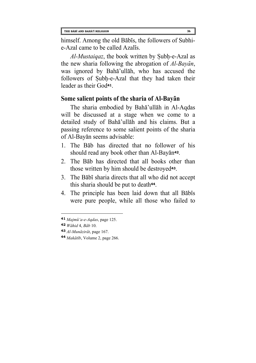himself. Among the old Babis, the followers of Subhie-Azal came to be called Azalis.

*Al-Mustaiqaz*, the book written by Subh-e-Azal as the new sharia following the abrogation of *Al-Bayan*, was ignored by Baha'ullah, who has accused the followers of Subh-e-Azal that they had taken their leader as their God**[41](#page-41-0)**.

# **Some salient points of the sharia of Al-Bayan**

The sharia embodied by Baha'ullah in Al-Aqdas will be discussed at a stage when we come to a detailed study of Baha'ullah and his claims. But a passing reference to some salient points of the sharia of Al-Bayan seems advisable:

- 1. The Bab has directed that no follower of his should read any book other than Al-Bayan**[42](#page-41-1)**.
- 2. The Bab has directed that all books other than those written by him should be destroyed**[43](#page-41-2)**.
- 3. The Babi sharia directs that all who did not accept this sharia should be put to death**[44](#page-41-3)**.
- 4. The principle has been laid down that all Babis were pure people, while all those who failed to

<span id="page-41-0"></span>**<sup>41</sup>** *Majmu'a-e-Aqdas*, page 125.

<span id="page-41-1"></span>**<sup>42</sup>** *Wahid* 4, *Bab* 10.

<span id="page-41-2"></span>**<sup>43</sup>** *Al-Munazirat*, page 167.

<span id="page-41-3"></span>**<sup>44</sup>** *Makatib*, Volume 2, page 266.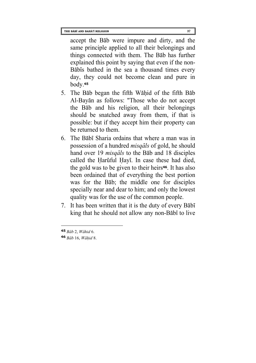accept the Bab were impure and dirty, and the same principle applied to all their belongings and things connected with them. The Bab has further explained this point by saying that even if the non-Babis bathed in the sea a thousand times every day, they could not become clean and pure in body.**[45](#page-42-0)**

- 5. The Bab began the fifth Wahid of the fifth Bab Al-Bayan as follows: "Those who do not accept the Bab and his religion, all their belongings should be snatched away from them, if that is possible: but if they accept him their property can be returned to them.
- 6. The Babi Sharia ordains that where a man was in possession of a hundred *misqals* of gold, he should hand over 19 *misqals* to the Bab and 18 disciples called the Haruful Havi. In case these had died, the gold was to be given to their heirs**[46](#page-42-1)**. It has also been ordained that of everything the best portion was for the Bab; the middle one for disciples specially near and dear to him; and only the lowest quality was for the use of the common people.
- 7. It has been written that it is the duty of every Babi king that he should not allow any non-Babi to live

<span id="page-42-0"></span>**<sup>45</sup>** *Bab* 2, *Wahid* 6.

<span id="page-42-1"></span>**<sup>46</sup>** *Bab* 16, *Wahid* 8.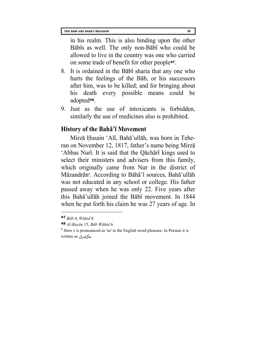in his realm. This is also binding upon the other Babis as well. The only non-Babi who could be allowed to live in the country was one who carried on some trade of benefit for other people**[47](#page-43-0)**.

- 8. It is ordained in the Babi sharia that any one who hurts the feelings of the Bab, or his successors after him, was to be killed; and for bringing about his death every possible means could be adopted**[48](#page-43-1)**.
- 9. Just as the use of intoxicants is forbidden, similarly the use of medicines also is prohibited.

#### **History of the Baha'i Movement**

Mirza Husain 'Ali, Baha'ullah, was born in Teheran on November 12, 1817, father's name being Mirza 'Abbas Nuri. It is said that the Qachari kings used to select their ministers and advisers from this family, which originally came from Nur in the district of Mazandran**[\\*](#page-43-2)**. According to Baha'i sources, Baha'ullah was not educated in any school or college. His father passed away when he was only 22. Five years after this Baha'ullah joined the Babi movement. In 1844 when he put forth his claim he was 27 years of age. In

<span id="page-43-0"></span>**<sup>47</sup>** *Bab* 4, *Wahid* 8.

<span id="page-43-1"></span>**<sup>48</sup>** *Al-Bayan* 15*, Bab Wahid* 6.

<span id="page-43-2"></span>**<sup>\*</sup>** Here z is pronounced as 'su' in the English word pleasure. In Persian it is written as ماژندران.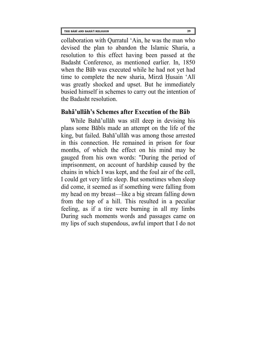collaboration with Qurratul 'Ain, he was the man who devised the plan to abandon the Islamic Sharia, a resolution to this effect having been passed at the Badasht Conference, as mentioned earlier. In, 1850 when the Bab was executed while he had not yet had time to complete the new sharia, Mirza Husain 'Ali was greatly shocked and upset. But he immediately busied himself in schemes to carry out the intention of the Badasht resolution.

#### **Baha'ullah's Schemes after Execution of the Bab**

While Baha'ullah was still deep in devising his plans some Babis made an attempt on the life of the king, but failed. Baha'ullah was among those arrested in this connection. He remained in prison for four months, of which the effect on his mind may be gauged from his own words: "During the period of imprisonment, on account of hardship caused by the chains in which I was kept, and the foul air of the cell, I could get very little sleep. But sometimes when sleep did come, it seemed as if something were falling from my head on my breast—like a big stream falling down from the top of a hill. This resulted in a peculiar feeling, as if a tire were burning in all my limbs During such moments words and passages came on my lips of such stupendous, awful import that I do not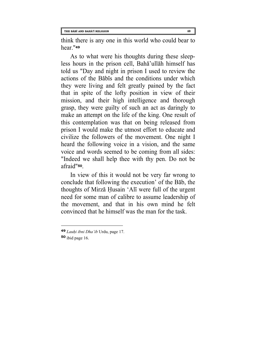think there is any one in this world who could bear to hear."**[49](#page-45-0)**

As to what were his thoughts during these sleepless hours in the prison cell, Baha'ullah himself has told us "Day and night in prison I used to review the actions of the Babis and the conditions under which they were living and felt greatly pained by the fact that in spite of the lofty position in view of their mission, and their high intelligence and thorough grasp, they were guilty of such an act as daringly to make an attempt on the life of the king. One result of this contemplation was that on being released from prison I would make the utmost effort to educate and civilize the followers of the movement. One night I heard the following voice in a vision, and the same voice and words seemed to be coming from all sides: "Indeed we shall help thee with thy pen. Do not be afraid"**[50](#page-45-1)**.

In view of this it would not be very far wrong to conclude that following the execution' of the Bab, the thoughts of Mirza Husain 'Ali were full of the urgent need for some man of calibre to assume leadership of the movement, and that in his own mind he felt convinced that he himself was the man for the task.

<span id="page-45-0"></span>**<sup>49</sup>** *Lauhi ibni Dha'ib* Urdu, page 17.

<span id="page-45-1"></span>**<sup>50</sup>** ibid page 16.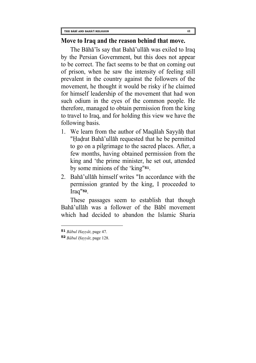#### **Move to Iraq and the reason behind that move.**

The Bāhā'īs say that Bahā'ullāh was exiled to Iraq by the Persian Government, but this does not appear to be correct. The fact seems to be that on coming out of prison, when he saw the intensity of feeling still prevalent in the country against the followers of the movement, he thought it would be risky if he claimed for himself leadership of the movement that had won such odium in the eyes of the common people. He therefore, managed to obtain permission from the king to travel to Iraq, and for holding this view we have the following basis.

- 1. We learn from the author of Maqalah Sayyah that "Hadrat Baha'ullah requested that he be permitted to go on a pilgrimage to the sacred places. After, a few months, having obtained permission from the king and 'the prime minister, he set out, attended by some minions of the 'king"**[51](#page-46-0)**.
- 2. Baha'ullah himself writes "In accordance with the permission granted by the king, I proceeded to Iraq"**[52](#page-46-1)**.

These passages seem to establish that though Baha'ullah was a follower of the Babi movement which had decided to abandon the Islamic Sharia

<span id="page-46-0"></span>**<sup>51</sup>** *Babul Hayyat*, page 47.

<span id="page-46-1"></span>**<sup>52</sup>** *Babul Hayyat*, page 128.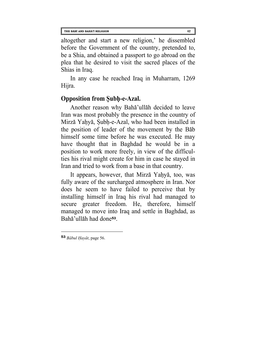altogether and start a new religion,' he dissembled before the Government of the country, pretended to, be a Shia, and obtained a passport to go abroad on the plea that he desired to visit the sacred places of the Shias in Iraq.

In any case he reached Iraq in Muharram, 1269 Hijra.

## **Opposition from Subh-e-Azal.**

Another reason why Baha'ullah decided to leave Iran was most probably the presence in the country of Mirza Yahya, Subh-e-Azal, who had been installed in the position of leader of the movement by the Bab himself some time before he was executed. He may have thought that in Baghdad he would be in a position to work more freely, in view of the difficulties his rival might create for him in case he stayed in Iran and tried to work from a base in that country.

It appears, however, that Mirza Yahya, too, was fully aware of the surcharged atmosphere in Iran. Nor does he seem to have failed to perceive that by installing himself in Iraq his rival had managed to secure greater freedom. He, therefore, himself managed to move into Iraq and settle in Baghdad, as Baha'ullah had done**[53](#page-47-0)**.

<span id="page-47-0"></span>**<sup>53</sup>** *Babul Hayat*, page 56.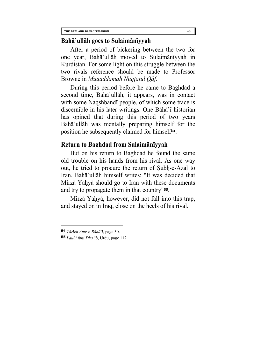#### **Baha'ullah goes to Sulaimaniyyah**

After a period of bickering between the two for one year, Baha'ullah moved to Sulaimaniyyah in Kurdistan. For some light on this struggle between the two rivals reference should be made to Professor Browne in *Muqaddamah Nuqtatul Qaf*.

During this period before he came to Baghdad a second time, Baha'ullah, it appears, was in contact with some Naqshbandi people, of which some trace is discernible in his later writings. One Baha'i historian has opined that during this period of two years Baha'ullah was mentally preparing himself for the position he subsequently claimed for himself**[54](#page-48-0)**.

#### **Return to Baghdad from Sulaimaniyyah**

But on his return to Baghdad he found the same old trouble on his hands from his rival. As one way out, he tried to procure the return of Subh-e-Azal to Iran. Baha'ullah himself writes: "It was decided that Mirza Yahya should go to Iran with these documents and try to propagate them in that country"**[55](#page-48-1)**.

Mirza Yahya, however, did not fall into this trap, and stayed on in Iraq, close on the heels of his rival.

<span id="page-48-0"></span>**<sup>54</sup>** *Tarikh Amr-e-Baha'i*, page 30.

<span id="page-48-1"></span>**<sup>55</sup>** *Lauhi ibni Dha'ib*, Urdu, page 112.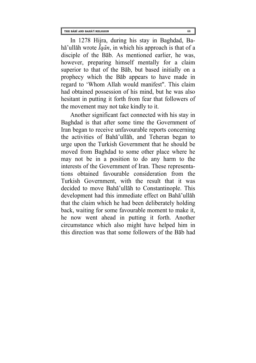In 1278 Hijra, during his stay in Baghdad, Baha'ullah wrote *Iqan*, in which his approach is that of a disciple of the Bab. As mentioned earlier, he was, however, preparing himself mentally for a claim superior to that of the Bab, but based initially on a prophecy which the Bab appears to have made in regard to 'Whom Allah would manifest". This claim had obtained possession of his mind, but he was also hesitant in putting it forth from fear that followers of the movement may not take kindly to it.

Another significant fact connected with his stay in Baghdad is that after some time the Government of Iran began to receive unfavourable reports concerning the activities of Baha'ullah, and Teheran began to urge upon the Turkish Government that he should be moved from Baghdad to some other place where he may not be in a position to do any harm to the interests of the Government of Iran. These representations obtained favourable consideration from the Turkish Government, with the result that it was decided to move Baha'ullah to Constantinople. This development had this immediate effect on Baha'ullah that the claim which he had been deliberately holding back, waiting for some favourable moment to make it, he now went ahead in putting it forth. Another circumstance which also might have helped him in this direction was that some followers of the Bab had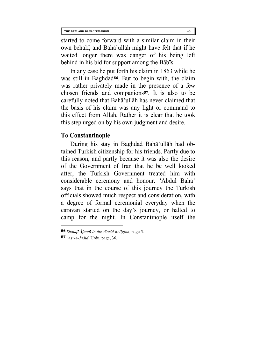started to come forward with a similar claim in their own behalf, and Baha'ullah might have felt that if he waited longer there was danger of his being left behind in his bid for support among the Babis.

In any case he put forth his claim in 1863 while he was still in Baghdad**[56](#page-50-0)**. But to begin with, the claim was rather privately made in the presence of a few chosen friends and companions**[57](#page-50-1)**. It is also to be carefully noted that Baha'ullah has never claimed that the basis of his claim was any light or command to this effect from Allah. Rather it is clear that he took this step urged on by his own judgment and desire.

## **To Constantinople**

During his stay in Baghdad Baha'ullah had obtained Turkish citizenship for his friends. Partly due to this reason, and partly because it was also the desire of the Government of Iran that he be well looked after, the Turkish Government treated him with considerable ceremony and honour. 'Abdul Baha' says that in the course of this journey the Turkish officials showed much respect and consideration, with a degree of formal ceremonial everyday when the caravan started on the day's journey, or halted to camp for the night. In Constantinople itself the

<span id="page-50-0"></span>**<sup>56</sup>** *Shauqi Afandi in the World Religion*, page 5.

<span id="page-50-1"></span>**<sup>57</sup>** *'Asr-e-Jadid*, Urdu, page, 36.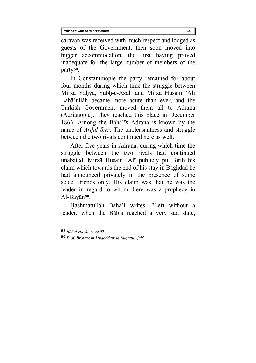caravan was received with much respect and lodged as guests of the Government, then soon moved into bigger accommodation, the first having proved inadequate for the large number of members of the party**[58](#page-51-0)**.

In Constantinople the party remained for about four months during which time the struggle between Mirza Yahya, Subh-e-Azal, and Mirza Husain 'Ali Baha'ullah became more acute than ever, and the Turkish Government moved them all to Adrana (Adrianople). They reached this place in December 1863. Among the Baha'is Adrana is known by the name of *Ardul Sirr*. The unpleasantness and struggle between the two rivals continued here as well.

After five years in Adrana, during which time the struggle between the two rivals had continued unabated, Mirza Husain 'Ali publicly put forth his claim which towards the end of his stay in Baghdad he had announced privately in the presence of some select friends only. His claim was that he was the leader in regard to whom there was a prophecy in Al-Bayan**[59](#page-51-1)**.

Hashmatullah Baha'i writes: "Left without a leader, when the Babis reached a very sad state,

<span id="page-51-0"></span>**<sup>58</sup>** *Babul Hayat*, page 92.

<span id="page-51-1"></span>**<sup>59</sup>** *Prof. Browne in Muqaddamah Nuqtatul Qaf*.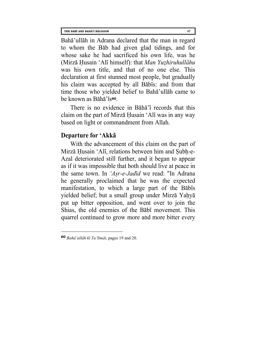Baha'ullah in Adrana declared that the man in regard to whom the Bab had given glad tidings, and for whose sake he had sacrificed his own life, was he (Mirza Husain 'Ali himself): that *Man Yuzhiruhullahu* was his own title, and that of no one else. This declaration at first stunned most people, but gradually his claim was accepted by all Babis: and from that time those who yielded belief to Baha'ullah came to be known as Baha'is**[60](#page-52-0)**.

There is no evidence in Baha'i records that this claim on the part of Mirza Husain 'Ali was in any way based on light or commandment from Allah.

## **Departure for 'Akka**

With the advancement of this claim on the part of Mirza Husain 'Ali, relations between him and Subh-e-Azal deteriorated still further, and it began to appear as if it was impossible that both should live at peace in the same town. In *'Asr-e-Jadid* we read: "In Adrana he generally proclaimed that he was the expected manifestation, to which a large part of the Babis yielded belief; but a small group under Mirza Yahya put up bitter opposition, and went over to join the Shias, the old enemies of the Babi movement. This quarrel continued to grow more and more bitter every

<span id="page-52-0"></span>**<sup>60</sup>** *Baha'ullah ki Ta'limat*, pages 19 and 20.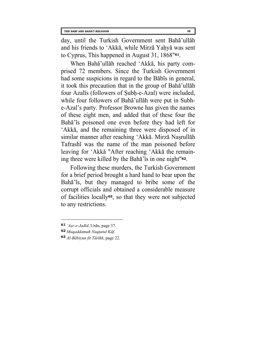day, until the Turkish Government sent Baha'ullah and his friends to 'Akka, while Mirza Yahya was sent to Cyprus, This happened in August 31, 1868"**[61](#page-53-0)**.

When Baha'ullah reached 'Akka, his party comprised 72 members. Since the Turkish Government had some suspicions in regard to the Babis in general, it took this precaution that in the group of Baha'ullah four Azalis (followers of Subh-e-Azal) were included, while four followers of Baha'ullah were put in Subhe-Azal's party. Professor Browne has given the names of these eight men, and added that of these four the Baha'is poisoned one even before they had left for 'Akka, and the remaining three were disposed of in similar manner after reaching 'Akka. Mirza Nasrullah Tafrashi was the name of the man poisoned before leaving for 'Akka "After reaching 'Akka the remaining three were killed by the Baha'is in one night"**[62](#page-53-1)**.

Following these murders, the Turkish Government for a brief period brought a hard hand to bear upon the Baha'is, but they managed to bribe some of the corrupt officials and obtained a considerable measure of facilities locally**[63](#page-53-2)**, so that they were not subjected to any restrictions.

<span id="page-53-0"></span>**<sup>61</sup>** *'Asr-e-Jadid*, Urdu, page 37.

<span id="page-53-1"></span>**<sup>62</sup>** *Muqaddamah Nuqtatul Kaf*.

<span id="page-53-2"></span>**<sup>63</sup>** *Al-Babiyun fit Tarikh*, page 22.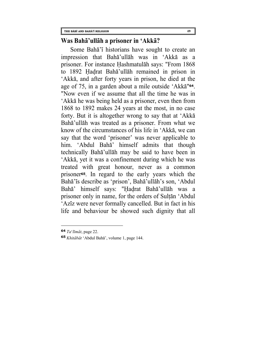#### **Was Baha'ullah a prisoner in 'Akka?**

Some Baha'i historians have sought to create an impression that Baha'ullah was in 'Akka as a prisoner. For instance Hashmatulah says: "From 1868 to 1892 Hadrat Baha'ullah remained in prison in 'Akka, and after forty years in prison, he died at the age of 75, in a garden about a mile outside 'Akka"**[64](#page-54-0)**. "Now even if we assume that all the time he was in 'Akka he was being held as a prisoner, even then from 1868 to 1892 makes 24 years at the most, in no case forty. But it is altogether wrong to say that at 'Akka Baha'ullah was treated as a prisoner. From what we know of the circumstances of his life in 'Akka, we can say that the word 'prisoner' was never applicable to him. 'Abdul Baha' himself admits that though technically Baha'ullah may be said to have been in 'Akka, yet it was a confinement during which he was treated with great honour, never as a common prisoner**[65](#page-54-1)**. In regard to the early years which the Baha'is describe as 'prison', Baha'ullah's son, 'Abdul Baha' himself says: "Hadrat Baha'ullah was a prisoner only in name, for the orders of Sultan 'Abdul 'Aziz were never formally cancelled. But in fact in his life and behaviour be showed such dignity that all

<span id="page-54-0"></span>**<sup>64</sup>** *Ta*'*limat*, page 22.

<span id="page-54-1"></span>**<sup>65</sup>** *Khitabat* 'Abdul Baha', volume 1, page 144.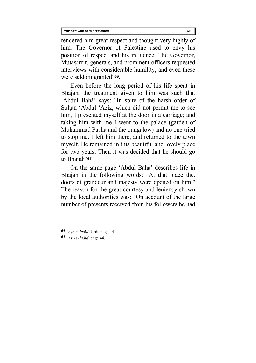rendered him great respect and thought very highly of him. The Governor of Palestine used to envy his position of respect and his influence. The Governor, Mutasarrif, generals, and prominent officers requested interviews with considerable humility, and even these were seldom granted"**[66](#page-55-0)**.

Even before the long period of his life spent in Bhajah, the treatment given to him was such that 'Abdul Baha' says: "In spite of the harsh order of Sultan 'Abdul 'Aziz, which did not permit me to see him, I presented myself at the door in a carriage; and taking him with me I went to the palace (garden of Muhammad Pasha and the bungalow) and no one tried to stop me. I left him there, and returned to the town myself. He remained in this beautiful and lovely place for two years. Then it was decided that he should go to Bhajah"**[67](#page-55-1)**.

On the same page 'Abdul Baha' describes life in Bhajah in the following words: "At that place the. doors of grandeur and majesty were opened on him." The reason for the great courtesy and leniency shown by the local authorities was: "On account of the large number of presents received from his followers he had

<span id="page-55-0"></span>**<sup>66</sup>** *'Asr-e-Jadid*, Urdu page 44.

<span id="page-55-1"></span>**<sup>67</sup>** *'Asr-e-Jadid,* page 44.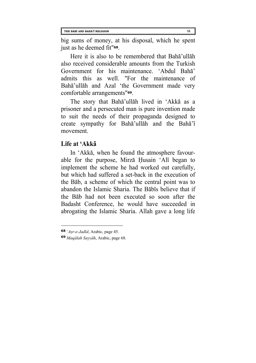big sums of money, at his disposal, which he spent just as he deemed fit"**[68](#page-56-0)**.

Here it is also to be remembered that Baha'ullah also received considerable amounts from the Turkish Government for his maintenance. 'Abdul Baha' admits this as well. "For the maintenance of Baha'ullah and Azal 'the Government made very comfortable arrangements"**[69](#page-56-1)**.

The story that Baha'ullah lived in 'Akka as a prisoner and a persecuted man is pure invention made to suit the needs of their propaganda designed to create sympathy for Baha'ullah and the Baha'i movement.

#### **Life at 'Akka**

In 'Akka, when he found the atmosphere favourable for the purpose, Mirza Husain 'Ali began to implement the scheme he had worked out carefully, but which had suffered a set-back in the execution of the Bab, a scheme of which the central point was to abandon the Islamic Sharia. The Babis believe that if the Bab had not been executed so soon after the Badasht Conference, he would have succeeded in abrogating the Islamic Sharia. Allah gave a long life

<span id="page-56-0"></span>**<sup>68</sup>** *'Asr-e-Jadid*, Arabic, page 45.

<span id="page-56-1"></span>**<sup>69</sup>** *Maqalah Sayyah*, Arabic, page 68.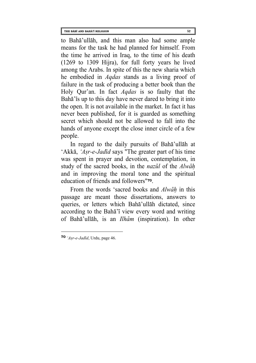to Baha'ullah, and this man also had some ample means for the task he had planned for himself. From the time he arrived in Iraq, to the time of his death (1269 to 1309 Hijra), for full forty years he lived among the Arabs. In spite of this the new sharia which he embodied in *Aqdas* stands as a living proof of failure in the task of producing a better book than the Holy Qur'an. In fact *Aqdas* is so faulty that the Baha' is up to this day have never dared to bring it into the open. It is not available in the market. In fact it has never been published, for it is guarded as something secret which should not be allowed to fall into the hands of anyone except the close inner circle of a few people.

In regard to the daily pursuits of Baha'ullah at 'Akka, *'Asr-e-Jadid* says "The greater part of his time was spent in prayer and devotion, contemplation, in study of the sacred books, in the *nazul* of the *Alwah* and in improving the moral tone and the spiritual education of friends and followers"**[70](#page-57-0)**.

From the words 'sacred books and *Alwah* in this passage are meant those dissertations, answers to queries, or letters which Baha'ullah dictated, since according to the Baha'i view every word and writing of Baha'ullah, is an *Ilham* (inspiration). In other

<span id="page-57-0"></span>**<sup>70</sup>** *'Asr-e-Jadid*, Urdu, page 46.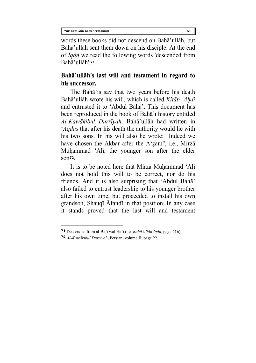words these books did not descend on Baha'ullah, but Baha'ullah sent them down on his disciple. At the end of *Iqan* we read the following words 'descended from Baha'ullah'.**[71](#page-58-0)**

## **Baha'ullah's last will and testament in regard to his successor.**

The Baha'is say that two years before his death Baha'ullah wrote his will, which is called *Kitab 'Ahdi* and entrusted it to 'Abdul Baha'. This document has been reproduced in the book of Baha'i history entitled *Al-Kawakibul Durriyah*. Baha'ullah had written in '*Aqdas* that after his death the authority would lie with his two sons. In his will also he wrote: "Indeed we have chosen the Akbar after the A'zam", i.e., Mirza Muhammad 'Ali, the younger son after the elder son**[72](#page-58-1)**.

It is to be noted here that Mirza Muhammad 'Ali does not hold this will to be correct, nor do his friends. And it is also surprising that 'Abdul Baha' also failed to entrust leadership to his younger brother after his own time, but proceeded to install his own grandson, Shauqi Afandi in that position. In any case it stands proved that the last will and testament

<span id="page-58-0"></span>**<sup>71</sup>** Descended from al-Ba'i wal Ha'i (i.e. *Baha'ullah Iqan*, page 216).

<span id="page-58-1"></span>**<sup>72</sup>** *Al-Kawakibul Durriyah*, Persian, volume II, page 22.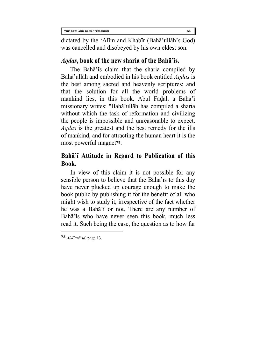dictated by the 'Alim and Khabir (Baha'ullah's God) was cancelled and disobeyed by his own eldest son.

# *Aqdas***, book of the new sharia of the Baha'is.**

The Baha'is claim that the sharia compiled by Baha'ullah and embodied in his book entitled *Aqdas* is the best among sacred and heavenly scriptures; and that the solution for all the world problems of mankind lies, in this book. Abul Fadal, a Baha'i missionary writes: "Baha'ullah has compiled a sharia without which the task of reformation and civilizing the people is impossible and unreasonable to expect. *Aqdas* is the greatest and the best remedy for the ills of mankind, and for attracting the human heart it is the most powerful magnet**[73](#page-59-0)**.

# **Baha'i Attitude in Regard to Publication of this Book.**

In view of this claim it is not possible for any sensible person to believe that the Baha's to this day have never plucked up courage enough to make the book public by publishing it for the benefit of all who might wish to study it, irrespective of the fact whether he was a Baha'i or not. There are any number of Baha'is who have never seen this book, much less read it. Such being the case, the question as to how far

<span id="page-59-0"></span>**<sup>73</sup>** *Al-Fara'id*, page 13.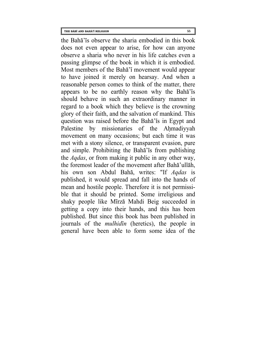the Baha'is observe the sharia embodied in this book does not even appear to arise, for how can anyone observe a sharia who never in his life catches even a passing glimpse of the book in which it is embodied. Most members of the Baha'i movement would appear to have joined it merely on hearsay. And when a reasonable person comes to think of the matter, there appears to be no earthly reason why the Baha'is should behave in such an extraordinary manner in regard to a book which they believe is the crowning glory of their faith, and the salvation of mankind. This question was raised before the Baha'is in Egypt and Palestine by missionaries of the Ahmadiyyah movement on many occasions; but each time it was met with a stony silence, or transparent evasion, pure and simple. Prohibiting the Baha'is from publishing the *Aqdas*, or from making it public in any other way, the foremost leader of the movement after Baha'ullah, his own son Abdul Baha, writes: "If *Aqdas* is published, it would spread and fall into the hands of mean and hostile people. Therefore it is not permissible that it should be printed. Some irreligious and shaky people like Mirza Mahdi Beig succeeded in getting a copy into their hands, and this has been published. But since this book has been published in journals of the *mulhidin* (heretics), the people in general have been able to form some idea of the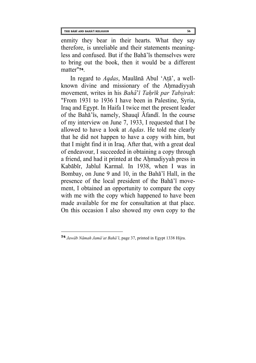enmity they bear in their hearts. What they say therefore, is unreliable and their statements meaningless and confused. But if the Baha'is themselves were to bring out the book, then it would be a different matter"**[74](#page-61-0)**.

In regard to *Aqdas*, Maulana Abul 'Ata', a wellknown divine and missionary of the Ahmadiyyah movement, writes in his *Baha*'*i Tahrik par Tabsirah*: "From 1931 to 1936 I have been in Palestine, Syria, Iraq and Egypt. In Haifa I twice met the present leader of the Baha'is, namely, Shauqi Afandi. In the course of my interview on June 7, 1933, I requested that I be allowed to have a look at *Aqdas*. He told me clearly that he did not happen to have a copy with him, but that I might find it in Iraq. After that, with a great deal of endeavour, I succeeded in obtaining a copy through a friend, and had it printed at the Ahmadiyyah press in Kababir, Jablul Karmal. In 1938, when I was in Bombay, on June 9 and 10, in the Baha'i Hall, in the presence of the local president of the Baha'i movement, I obtained an opportunity to compare the copy with me with the copy which happened to have been made available for me for consultation at that place. On this occasion I also showed my own copy to the

<span id="page-61-0"></span>**<sup>74</sup>** *Jawab Namah Jama'at Baha'i*, page 37, printed in Egypt 1338 Hijra.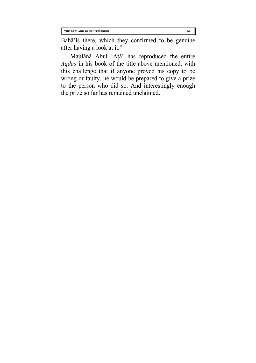Baha'is there, which they confirmed to be genuine after having a look at it."

Maulana Abul 'Ata' has reproduced the entire *Aqdas* in his book of the title above mentioned, with this challenge that if anyone proved his copy to be wrong or faulty, he would be prepared to give a prize to the person who did so. And interestingly enough the prize so far has remained unclaimed.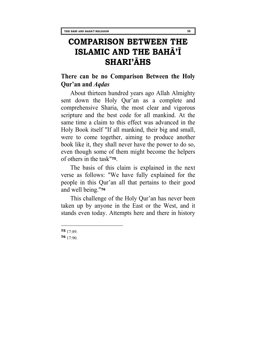# **COMPARISON BETWEEN THE ISLAMIC AND THE BAHĀ'Ī SHARI'ĀHS**

## **There can be no Comparison Between the Holy Qur'an and** *Aqdas*

About thirteen hundred years ago Allah Almighty sent down the Holy Qur'an as a complete and comprehensive Sharia, the most clear and vigorous scripture and the best code for all mankind. At the same time a claim to this effect was advanced in the Holy Book itself "If all mankind, their big and small, were to come together, aiming to produce another book like it, they shall never have the power to do so, even though some of them might become the helpers of others in the task"**[75](#page-63-0)**.

The basis of this claim is explained in the next verse as follows: "We have fully explained for the people in this Qur'an all that pertains to their good and well being."**[76](#page-63-1)**

This challenge of the Holy Qur'an has never been taken up by anyone in the East or the West, and it stands even today. Attempts here and there in history

<span id="page-63-0"></span>**75** 17:89.

<span id="page-63-1"></span>**<sup>76</sup>** 17:90.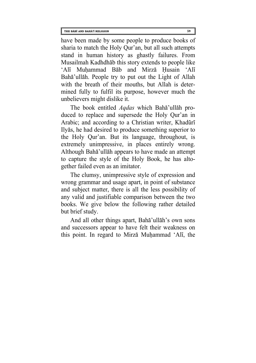have been made by some people to produce books of sharia to match the Holy Qur'an, but all such attempts stand in human history as ghastly failures. From Musailmah Kadhdhab this story extends to people like 'Ali Muhammad Bab and Mirza Husain 'Ali Baha'ullah. People try to put out the Light of Allah with the breath of their mouths, but Allah is determined fully to fulfil its purpose, however much the unbelievers might dislike it.

The book entitled *Aqdas* which Baha'ullah produced to replace and supersede the Holy Qur'an in Arabic; and according to a Christian writer, Khaduri Ilyas, he had desired to produce something superior to the Holy Qur'an. But its language, throughout, is extremely unimpressive, in places entirely wrong. Although Baha'ullah appears to have made an attempt to capture the style of the Holy Book, he has altogether failed even as an imitator.

The clumsy, unimpressive style of expression and wrong grammar and usage apart, in point of substance and subject matter, there is all the less possibility of any valid and justifiable comparison between the two books. We give below the following rather detailed but brief study.

And all other things apart, Baha'ullah's own sons and successors appear to have felt their weakness on this point. In regard to Mirza Muhammad 'Ali, the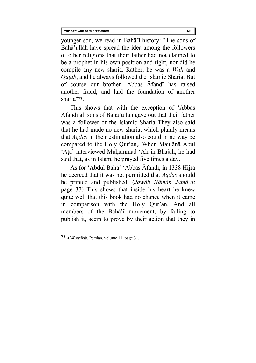younger son, we read in Baha'i history: "The sons of Baha'ullah have spread the idea among the followers of other religions that their father had not claimed to be a prophet in his own position and right, nor did he compile any new sharia. Rather, he was a *Wali* and *Qutab*, and he always followed the Islamic Sharia. But of course our brother 'Abbas Afandi has raised another fraud, and laid the foundation of another sharia"**[77](#page-65-0)**.

This shows that with the exception of 'Abbas Afandi all sons of Baha'ullah gave out that their father was a follower of the Islamic Sharia They also said that he had made no new sharia, which plainly means that *Aqdas* in their estimation also could in no way be compared to the Holy Qur'an,, When Maulana Abul 'Ata' interviewed Muhammad 'Ali in Bhajah, he had said that, as in Islam, he prayed five times a day.

As for 'Abdul Baha' 'Abbas Afandi, in 1338 Hijra he decreed that it was not permitted that *Aqdas* should be printed and published. (*Jawab Namah Jama'at* page 37) This shows that inside his heart he knew quite well that this book had no chance when it came in comparison with the Holy Qur'an. And all members of the Baha'i movement, by failing to publish it, seem to prove by their action that they in

<span id="page-65-0"></span>**<sup>77</sup>** *Al-Kawakib*, Persian, volume 11, page 31.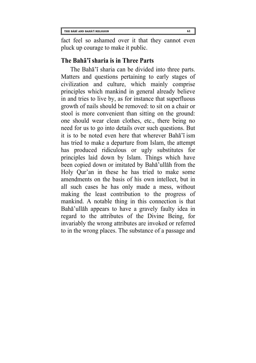fact feel so ashamed over it that they cannot even pluck up courage to make it public.

#### **The Baha'i sharia is in Three Parts**

The Baha'i sharia can be divided into three parts. Matters and questions pertaining to early stages of civilization and culture, which mainly comprise principles which mankind in general already believe in and tries to live by, as for instance that superfluous growth of nails should be removed: to sit on a chair or stool is more convenient than sitting on the ground: one should wear clean clothes, etc., there being no need for us to go into details over such questions. But it is to be noted even here that wherever Baha'i ism has tried to make a departure from Islam, the attempt has produced ridiculous or ugly substitutes for principles laid down by Islam. Things which have been copied down or imitated by Baha'ullah from the Holy Qur'an in these he has tried to make some amendments on the basis of his own intellect, but in all such cases he has only made a mess, without making the least contribution to the progress of mankind. A notable thing in this connection is that Baha'ullah appears to have a gravely faulty idea in regard to the attributes of the Divine Being, for invariably the wrong attributes are invoked or referred to in the wrong places. The substance of a passage and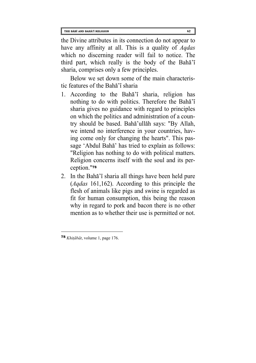the Divine attributes in its connection do not appear to have any affinity at all. This is a quality of *Aqdas* which no discerning reader will fail to notice. The third part, which really is the body of the Baha'i sharia, comprises only a few principles.

Below we set down some of the main characteristic features of the Baha'i sharia

- 1. According to the Baha'i sharia, religion has nothing to do with politics. Therefore the Baha'i sharia gives no guidance with regard to principles on which the politics and administration of a country should be based. Baha'ullah says: "By Allah, we intend no interference in your countries, having come only for changing the hearts". This passage 'Abdul Baha' has tried to explain as follows: "Religion has nothing to do with political matters. Religion concerns itself with the soul and its perception."**[78](#page-67-0)**
- 2. In the Baha'i sharia all things have been held pure (*Aqdas* 161,162). According to this principle the flesh of animals like pigs and swine is regarded as fit for human consumption, this being the reason why in regard to pork and bacon there is no other mention as to whether their use is permitted or not.

<span id="page-67-0"></span>**<sup>78</sup>** *Khitabat*, volume 1, page 176.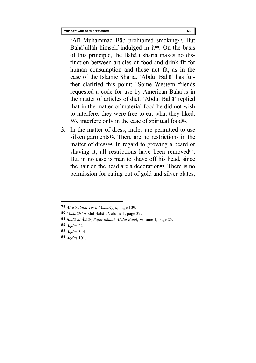'Ali Muhammad Bab prohibited smoking**[79](#page-68-0)**. But Baha'ullah himself indulged in it**[80](#page-68-1)**. On the basis of this principle, the Baha'i sharia makes no distinction between articles of food and drink fit for human consumption and those not fit, as in the case of the Islamic Sharia. 'Abdul Baha' has further clarified this point: "Some Western friends requested a code for use by American Baha'is in the matter of articles of diet. 'Abdul Baha' replied that in the matter of material food he did not wish to interfere: they were free to eat what they liked. We interfere only in the case of spiritual food**[81](#page-68-2)**.

3. In the matter of dress, males are permitted to use silken garments**[82](#page-68-3)**. There are no restrictions in the matter of dress**[83](#page-68-4)**. In regard to growing a beard or shaving it, all restrictions have been removed**83**. But in no case is man to shave off his head, since the hair on the head are a decoration**[84](#page-68-5)**. There is no permission for eating out of gold and silver plates,

<span id="page-68-0"></span>**<sup>79</sup>** *Al-Risalatul Tis'a 'Ashariyya*, page 109.

<span id="page-68-1"></span>**<sup>80</sup>** *Makatib* 'Abdul Baha', Volume 1, page 327.

<span id="page-68-2"></span>**<sup>81</sup>** *Bada'ul Athar, Safar namah Abdul Baha*, Volume 1, page 23.

<span id="page-68-3"></span>**<sup>82</sup>** *Aqdas* 22.

<span id="page-68-4"></span>**<sup>83</sup>** *Aqdas* 344.

<span id="page-68-5"></span>**<sup>84</sup>** *Aqdas* 101.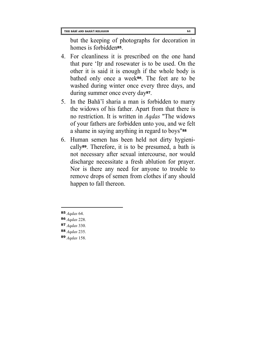but the keeping of photographs for decoration in homes is forbidden**[85](#page-69-0)**.

- 4. For cleanliness it is prescribed on the one hand that pure 'Itr and rosewater is to be used. On the other it is said it is enough if the whole body is bathed only once a week**[86](#page-69-1)**. The feet are to be washed during winter once every three days, and during summer once every day**[87](#page-69-2)**.
- 5. In the Baha'i sharia a man is forbidden to marry the widows of his father. Apart from that there is no restriction. It is written in *Aqdas* "The widows of your fathers are forbidden unto you, and we felt a shame in saying anything in regard to boys"**[88](#page-69-3)**
- 6. Human semen has been held not dirty hygienically**[89](#page-69-4)**. Therefore, it is to be presumed, a bath is not necessary after sexual intercourse, nor would discharge necessitate a fresh ablution for prayer. Nor is there any need for anyone to trouble to remove drops of semen from clothes if any should happen to fall thereon.

- <span id="page-69-1"></span>**86** *Aqdas* 228.
- <span id="page-69-2"></span>**87** *Aqdas* 330.
- <span id="page-69-3"></span>**88** *Aqdas* 235.
- <span id="page-69-4"></span>**89** *Aqdas* 158.

<span id="page-69-0"></span>**<sup>85</sup>** *Aqdas* 64.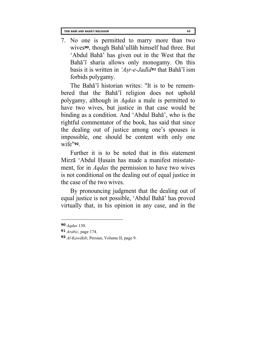7. No one is permitted to marry more than two wives**[90](#page-70-0)**, though Baha'ullah himself had three. But 'Abdul Baha' has given out in the West that the Baha'i sharia allows only monogamy. On this basis it is written in *'Asr-e-Jadid[91](#page-70-1)* that Baha'i ism forbids polygamy.

The Baha'i historian writes: "It is to be remembered that the Baha'i religion does not uphold polygamy, although in *Aqdas* a male is permitted to have two wives, but justice in that case would be binding as a condition. And 'Abdul Baha', who is the rightful commentator of the book, has said that since the dealing out of justice among one's spouses is impossible, one should be content with only one wife"**[92](#page-70-2)**.

Further it is to be noted that in this statement Mirza 'Abdul Husain has made a manifest misstatement, for in *Aqdas* the permission to have two wives is not conditional on the dealing out of equal justice in the case of the two wives.

By pronouncing judgment that the dealing out of equal justice is not possible, 'Abdul Baha' has proved virtually that, in his opinion in any case, and in the

<span id="page-70-0"></span>**<sup>90</sup>** *Aqdas* 130.

<span id="page-70-1"></span>**<sup>91</sup>** *Arabic*, page 174.

<span id="page-70-2"></span>**<sup>92</sup>** *Al-Kawakib*, Persian, Volume II, page 9.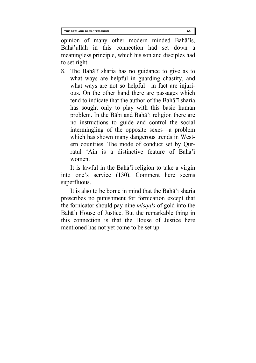opinion of many other modern minded Baha'is, Baha'ullah in this connection had set down a meaningless principle, which his son and disciples had to set right.

8. The Baha'i sharia has no guidance to give as to what ways are helpful in guarding chastity, and what ways are not so helpful—in fact are injurious. On the other hand there are passages which tend to indicate that the author of the Baha'i sharia has sought only to play with this basic human problem. In the Babi and Baha'i religion there are no instructions to guide and control the social intermingling of the opposite sexes—a problem which has shown many dangerous trends in Western countries. The mode of conduct set by Qurratul 'Ain is a distinctive feature of Baha'i women.

It is lawful in the Baha'i religion to take a virgin into one's service (130). Comment here seems superfluous.

It is also to be borne in mind that the Baha'i sharia prescribes no punishment for fornication except that the fornicator should pay nine *misqals* of gold into the Baha'i House of Justice. But the remarkable thing in this connection is that the House of Justice here mentioned has not yet come to be set up.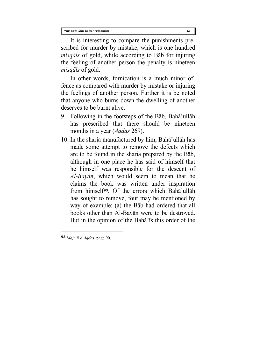It is interesting to compare the punishments prescribed for murder by mistake, which is one hundred *misqals* of gold, while according to Bab for injuring the feeling of another person the penalty is nineteen *misqals* of gold.

In other words, fornication is a much minor offence as compared with murder by mistake or injuring the feelings of another person. Further it is be noted that anyone who burns down the dwelling of another deserves to be burnt alive.

- 9. Following in the footsteps of the Bab, Baha'ullah has prescribed that there should be nineteen months in a year (*Aqdas* 269).
- 10. In the sharia manufactured by him, Baha'ullah has made some attempt to remove the defects which are to be found in the sharia prepared by the Bab, although in one place he has said of himself that he himself was responsible for the descent of *Al-Bayan*, which would seem to mean that he claims the book was written under inspiration from himself**[93](#page-72-0)**. Of the errors which Baha'ullah has sought to remove, four may be mentioned by way of example: (a) the Bab had ordered that all books other than Al-Bayan were to be destroyed. But in the opinion of the Baha'is this order of the

<span id="page-72-0"></span>**<sup>93</sup>** *Majmu'a Aqdas*, page 90.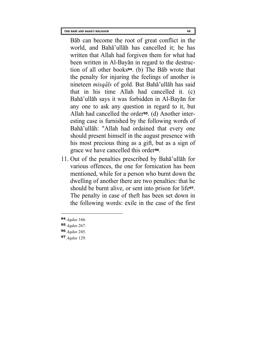Bab can become the root of great conflict in the world, and Baha'ullah has cancelled it; he has written that Allah had forgiven them for what had been written in Al-Bayan in regard to the destruction of all other books**[94](#page-73-0)**. (b) The Bab wrote that the penalty for injuring the feelings of another is nineteen *misqals* of gold. But Baha'ullah has said that in his time Allah had cancelled it. (c) Baha'ullah says it was forbidden in Al-Bayan for any one to ask any question in regard to it, but Allah had cancelled the order**[95](#page-73-1)**. (d) Another interesting case is furnished by the following words of Baha'ullah: "Allah had ordained that every one should present himself in the august presence with his most precious thing as a gift, but as a sign of grace we have cancelled this order**[96](#page-73-2)**.

11. Out of the penalties prescribed by Baha'ullah for various offences, the one for fornication has been mentioned, while for a person who burnt down the dwelling of another there are two penalties: that he should be burnt alive, or sent into prison for life**[97](#page-73-3)**. The penalty in case of theft has been set down in the following words: exile in the case of the first

- <span id="page-73-1"></span>**95** *Aqdas* 267.
- <span id="page-73-2"></span>**96** *Aqdas* 245.
- <span id="page-73-3"></span>**97** *Aqdas* 129.

<span id="page-73-0"></span>**<sup>94</sup>** *Aqdas* 166.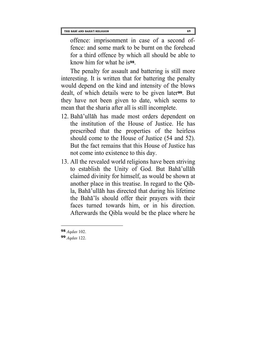offence: imprisonment in case of a second offence: and some mark to be burnt on the forehead for a third offence by which all should be able to know him for what he is**[98](#page-74-0)**.

The penalty for assault and battering is still more interesting. It is written that for battering the penalty would depend on the kind and intensity of the blows dealt, of which details were to be given later**[99](#page-74-1)**. But they have not been given to date, which seems to mean that the sharia after all is still incomplete.

- 12. Baha'ullah has made most orders dependent on the institution of the House of Justice. He has prescribed that the properties of the heirless should come to the House of Justice (54 and 52). But the fact remains that this House of Justice has not come into existence to this day.
- 13. All the revealed world religions have been striving to establish the Unity of God. But Baha'ullah claimed divinity for himself, as would be shown at another place in this treatise. In regard to the Qibla, Baha'ullah has directed that during his lifetime the Baha'is should offer their prayers with their faces turned towards him, or in his direction. Afterwards the Qibla would be the place where he

<span id="page-74-0"></span>**<sup>98</sup>** *Aqdas* 102.

<span id="page-74-1"></span>**<sup>99</sup>** *Aqdas* 122.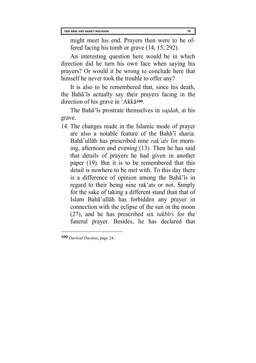might meet his end. Prayers then were to be offered facing his tomb or grave (14, 15, 292).

An interesting question here would be in which direction did he turn his own face when saying his prayers? Or would it be wrong to conclude here that himself he never took the trouble to offer any?

It is also to be remembered that, since his death, the Baha'is actually say their prayers facing in the direction of his grave in 'Akka**[100](#page-75-0)**.

The Baha'is prostrate themselves in *sajdah*, at his grave.

14. The changes made in the Islamic mode of prayer are also a notable feature of the Baha'i sharia. Baha'ullah has prescribed nine *rak'ats* for morning, afternoon and evening (13). Then he has said that details of prayers he had given in another paper (19). But it is to be remembered that this detail is nowhere to be met with. To this day there is a difference of opinion among the Baha'is in regard to their being nine rak'ats or not. Simply for the sake of taking a different stand than that of Islam Baha'ullah has forbidden any prayer in connection with the eclipse of the sun or the moon (27), and he has prescribed six *takbirs* for the funeral prayer. Besides, he has declared that

<span id="page-75-0"></span>**<sup>100</sup>** *Durusul Dayana*, page 24.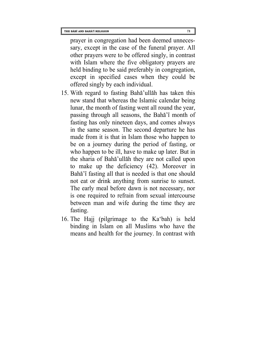prayer in congregation had been deemed unnecessary, except in the case of the funeral prayer. All other prayers were to be offered singly, in contrast with Islam where the five obligatory prayers are held binding to be said preferably in congregation, except in specified cases when they could be offered singly by each individual.

- 15. With regard to fasting Baha'ullah has taken this new stand that whereas the Islamic calendar being lunar, the month of fasting went all round the year, passing through all seasons, the Baha'i month of fasting has only nineteen days, and comes always in the same season. The second departure he has made from it is that in Islam those who happen to be on a journey during the period of fasting, or who happen to be ill, have to make up later. But in the sharia of Baha'ullah they are not called upon to make up the deficiency (42). Moreover in Baha'i fasting all that is needed is that one should not eat or drink anything from sunrise to sunset. The early meal before dawn is not necessary, nor is one required to refrain from sexual intercourse between man and wife during the time they are fasting.
- 16. The Hajj (pilgrimage to the Ka'bah) is held binding in Islam on all Muslims who have the means and health for the journey. In contrast with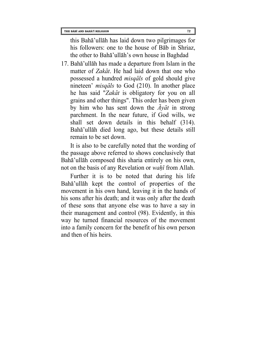this Baha'ullah has laid down two pilgrimages for his followers: one to the house of Bab in Shriaz, the other to Baha'ullah's own house in Baghdad

17. Baha'ullah has made a departure from Islam in the matter of *Zakat*. He had laid down that one who possessed a hundred *misqals* of gold should give nineteen' *misqals* to God (210). In another place he has said "*Zakat* is obligatory for you on all grains and other things". This order has been given by him who has sent down the  $\overline{A}$ *y* $\overline{a}$ *t* in strong parchment. In the near future, if God wills, we shall set down details in this behalf (314). Baha'ullah died long ago, but these details still remain to be set down.

It is also to be carefully noted that the wording of the passage above referred to shows conclusively that Baha'ullah composed this sharia entirely on his own, not on the basis of any Revelation or *wahi* from Allah.

Further it is to be noted that during his life Baha'ullah kept the control of properties of the movement in his own hand, leaving it in the hands of his sons after his death; and it was only after the death of these sons that anyone else was to have a say in their management and control (98). Evidently, in this way he turned financial resources of the movement into a family concern for the benefit of his own person and then of his heirs.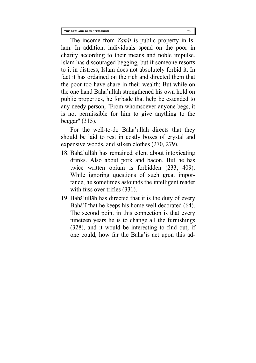The income from *Zakat* is public property in Islam. In addition, individuals spend on the poor in charity according to their means and noble impulse. Islam has discouraged begging, but if someone resorts to it in distress, Islam does not absolutely forbid it. In fact it has ordained on the rich and directed them that the poor too have share in their wealth: But while on the one hand Baha'ullah strengthened his own hold on public properties, he forbade that help be extended to any needy person, "From whomsoever anyone begs, it is not permissible for him to give anything to the beggar" (315).

For the well-to-do Baha'ullah directs that they should be laid to rest in costly boxes of crystal and expensive woods, and silken clothes (270, 279).

- 18. Baha'ullah has remained silent about intoxicating drinks. Also about pork and bacon. But he has twice written opium is forbidden (233, 409). While ignoring questions of such great importance, he sometimes astounds the intelligent reader with fuss over trifles  $(331)$ .
- 19. Baha'ullah has directed that it is the duty of every Baha<sup>'</sup> i that he keeps his home well decorated (64). The second point in this connection is that every nineteen years he is to change all the furnishings (328), and it would be interesting to find out, if one could, how far the Baha'is act upon this ad-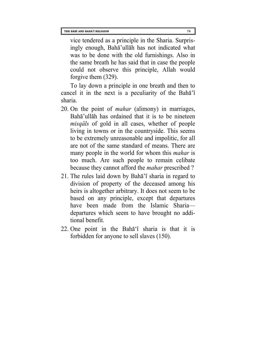vice tendered as a principle in the Sharia. Surprisingly enough, Baha'ullah has not indicated what was to be done with the old furnishings. Also in the same breath he has said that in case the people could not observe this principle, Allah would forgive them (329).

To lay down a principle in one breath and then to cancel it in the next is a peculiarity of the Baha'i sharia.

- 20. On the point of *mahar* (alimony) in marriages, Baha'ullah has ordained that it is to be nineteen *misqals* of gold in all cases, whether of people living in towns or in the countryside. This seems to be extremely unreasonable and impolitic, for all are not of the same standard of means. There are many people in the world for whom this *mahar* is too much. Are such people to remain celibate because they cannot afford the *mahar* prescribed ?
- 21. The rules laid down by Baha'i sharia in regard to division of property of the deceased among his heirs is altogether arbitrary. It does not seem to be based on any principle, except that departures have been made from the Islamic Sharia departures which seem to have brought no additional benefit.
- 22. One point in the Baha'i sharia is that it is forbidden for anyone to sell slaves (150).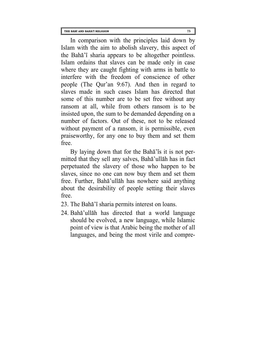In comparison with the principles laid down by Islam with the aim to abolish slavery, this aspect of the Baha'i sharia appears to be altogether pointless. Islam ordains that slaves can be made only in case where they are caught fighting with arms in battle to interfere with the freedom of conscience of other people (The Qur'an 9:67). And then in regard to slaves made in such cases Islam has directed that some of this number are to be set free without any ransom at all, while from others ransom is to be insisted upon, the sum to be demanded depending on a number of factors. Out of these, not to be released without payment of a ransom, it is permissible, even praiseworthy, for any one to buy them and set them free.

By laying down that for the Baha<sup> $\overline{a}$ </sup> is it is not permitted that they sell any salves, Baha'ullah has in fact perpetuated the slavery of those who happen to be slaves, since no one can now buy them and set them free. Further, Baha'ullah has nowhere said anything about the desirability of people setting their slaves free.

- 23. The Baha'i sharia permits interest on loans.
- 24. Baha'ullah has directed that a world language should be evolved, a new language, while Islamic point of view is that Arabic being the mother of all languages, and being the most virile and compre-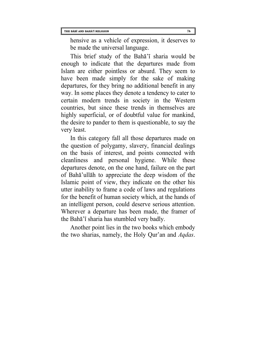hensive as a vehicle of expression, it deserves to be made the universal language.

This brief study of the Baha'i sharia would be enough to indicate that the departures made from Islam are either pointless or absurd. They seem to have been made simply for the sake of making departures, for they bring no additional benefit in any way. In some places they denote a tendency to cater to certain modern trends in society in the Western countries, but since these trends in themselves are highly superficial, or of doubtful value for mankind, the desire to pander to them is questionable, to say the very least.

In this category fall all those departures made on the question of polygamy, slavery, financial dealings on the basis of interest, and points connected with cleanliness and personal hygiene. While these departures denote, on the one hand, failure on the part of Baha'ullah to appreciate the deep wisdom of the Islamic point of view, they indicate on the other his utter inability to frame a code of laws and regulations for the benefit of human society which, at the hands of an intelligent person, could deserve serious attention. Wherever a departure has been made, the framer of the Baha'i sharia has stumbled very badly.

Another point lies in the two books which embody the two sharias, namely, the Holy Qur'an and *Aqdas*.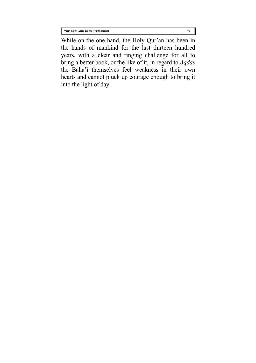While on the one hand, the Holy Qur'an has been in the hands of mankind for the last thirteen hundred years, with a clear and ringing challenge for all to bring a better book, or the like of it, in regard to *Aqdas* the Baha'i themselves feel weakness in their own hearts and cannot pluck up courage enough to bring it into the light of day.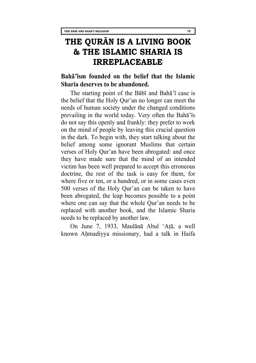# **THE QURĀN IS A LIVING BOOK & THE ISLAMIC SHARIA IS IRREPLACEABLE**

### **Baha'ism founded on the belief that the Islamic Sharia deserves to be abandoned.**

The starting point of the Babi and Baha'i case is the belief that the Holy Qur'an no longer can meet the needs of human society under the changed conditions prevailing in the world today. Very often the Baha'is do not say this openly and frankly: they prefer to work on the mind of people by leaving this crucial question in the dark. To begin with, they start talking about the belief among some ignorant Muslims that certain verses of Holy Qur'an have been abrogated: and once they have made sure that the mind of an intended victim has been well prepared to accept this erroneous doctrine, the rest of the task is easy for them, for where five or ten, or a hundred, or in some cases even 500 verses of the Holy Qur'an can be taken to have been abrogated, the leap becomes possible to a point where one can say that the whole Qur'an needs to be replaced with another book, and the Islamic Sharia needs to be replaced by another law.

On June 7, 1933, Maulana Abul 'Ata, a well known Ahmadiyya missionary, had a talk in Haifa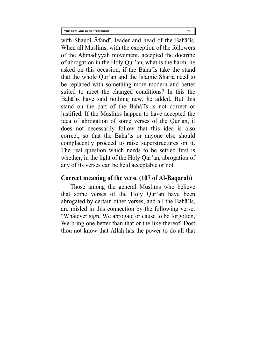with Shauqi Afandi, leader and head of the Baha'is. When all Muslims, with the exception of the followers of the Ahmadiyyah movement, accepted the doctrine of abrogation in the Holy Qur'an, what is the harm, he asked on this occasion, if the Baha'is take the stand that the whole Qur'an and the Islamic Sharia need to be replaced with something more modern and better suited to meet the changed conditions? In this the Baha'is have said nothing new, he added. But this stand on the part of the Baha'is is not correct or justified. If the Muslims happen to have accepted the idea of abrogation of some verses of the Qur'an, it does not necessarily follow that this idea is also correct, so that the Baha'is or anyone else should complacently proceed to raise superstructures on it. The real question which needs to be settled first is whether, in the light of the Holy Qur'an, abrogation of any of its verses can be held acceptable or not.

### **Correct meaning of the verse (107 of Al-Baqarah)**

Those among the general Muslims who believe that some verses of the Holy Qur'an have been abrogated by certain other verses, and all the Baha'is, are misled in this connection by the following verse: "Whatever sign, We abrogate or cause to be forgotten, We bring one better than that or the like thereof. Dost thou not know that Allah has the power to do all that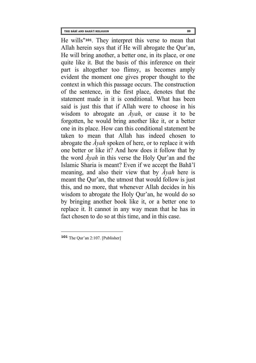He wills"**[101](#page-85-0)**. They interpret this verse to mean that Allah herein says that if He will abrogate the Qur'an, He will bring another, a better one, in its place, or one quite like it. But the basis of this inference on their part is altogether too flimsy, as becomes amply evident the moment one gives proper thought to the context in which this passage occurs. The construction of the sentence, in the first place, denotes that the statement made in it is conditional. What has been said is just this that if Allah were to choose in his wisdom to abrogate an *Ayah*, or cause it to be forgotten, he would bring another like it, or a better one in its place. How can this conditional statement be taken to mean that Allah has indeed chosen to abrogate the *Ayah* spoken of here, or to replace it with one better or like it? And how does it follow that by the word *Ayah* in this verse the Holy Qur'an and the Islamic Sharia is meant? Even if we accept the Baha'i meaning, and also their view that by *Ayah* here is meant the Qur'an, the utmost that would follow is just this, and no more, that whenever Allah decides in his wisdom to abrogate the Holy Qur'an, he would do so by bringing another book like it, or a better one to replace it. It cannot in any way mean that he has in fact chosen to do so at this time, and in this case.

<span id="page-85-0"></span>**<sup>101</sup>** The Qur'an 2:107. [Publisher]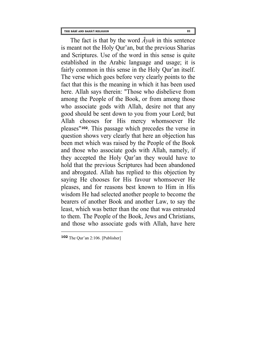The fact is that by the word *Ayah* in this sentence is meant not the Holy Qur'an, but the previous Sharias and Scriptures. Use of the word in this sense is quite established in the Arabic language and usage; it is fairly common in this sense in the Holy Qur'an itself. The verse which goes before very clearly points to the fact that this is the meaning in which it has been used here. Allah says therein: "Those who disbelieve from among the People of the Book, or from among those who associate gods with Allah, desire not that any good should be sent down to you from your Lord; but Allah chooses for His mercy whomsoever He pleases"**[102](#page-86-0)**. This passage which precedes the verse in question shows very clearly that here an objection has been met which was raised by the People of the Book and those who associate gods with Allah, namely, if they accepted the Holy Qar'an they would have to hold that the previous Scriptures had been abandoned and abrogated. Allah has replied to this objection by saying He chooses for His favour whomsoever He pleases, and for reasons best known to Him in His wisdom He had selected another people to become the bearers of another Book and another Law, to say the least, which was better than the one that was entrusted to them. The People of the Book, Jews and Christians, and those who associate gods with Allah, have here

<span id="page-86-0"></span>**<sup>102</sup>** The Qur'an 2:106. [Publisher]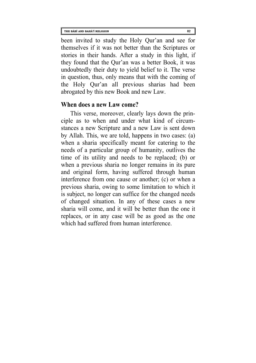been invited to study the Holy Qur'an and see for themselves if it was not better than the Scriptures or stories in their hands. After a study in this light, if they found that the Qur'an was a better Book, it was undoubtedly their duty to yield belief to it. The verse in question, thus, only means that with the coming of the Holy Qur'an all previous sharias had been abrogated by this new Book and new Law.

#### **When does a new Law come?**

This verse, moreover, clearly lays down the principle as to when and under what kind of circumstances a new Scripture and a new Law is sent down by Allah. This, we are told, happens in two cases: (a) when a sharia specifically meant for catering to the needs of a particular group of humanity, outlives the time of its utility and needs to be replaced; (b) or when a previous sharia no longer remains in its pure and original form, having suffered through human interference from one cause or another; (c) or when a previous sharia, owing to some limitation to which it is subject, no longer can suffice for the changed needs of changed situation. In any of these cases a new sharia will come, and it will be better than the one it replaces, or in any case will be as good as the one which had suffered from human interference.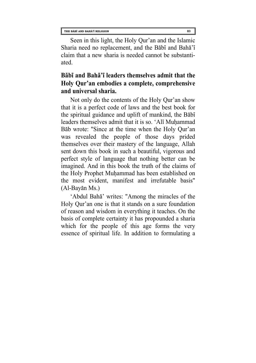**THE BĀBĪ AND BAHĀ'Ī RELIGION 83**

Seen in this light, the Holy Qur'an and the Islamic Sharia need no replacement, and the Babi and Baha'i claim that a new sharia is needed cannot be substantiated.

### **Babi and Baha'i leaders themselves admit that the Holy Qur'an embodies a complete, comprehensive and universal sharia.**

Not only do the contents of the Holy Qur'an show that it is a perfect code of laws and the best book for the spiritual guidance and uplift of mankind, the Babi leaders themselves admit that it is so. 'Ali Muhammad Bab wrote: "Since at the time when the Holy Qur'an was revealed the people of those days prided themselves over their mastery of the language, Allah sent down this book in such a beautiful, vigorous and perfect style of language that nothing better can be imagined. And in this book the truth of the claims of the Holy Prophet Muhammad has been established on the most evident, manifest and irrefutable basis" (Al-Bayan Ms.)

'Abdul Baha' writes: "Among the miracles of the Holy Qur'an one is that it stands on a sure foundation of reason and wisdom in everything it teaches. On the basis of complete certainty it has propounded a sharia which for the people of this age forms the very essence of spiritual life. In addition to formulating a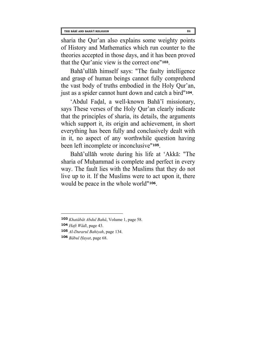sharia the Qur'an also explains some weighty points of History and Mathematics which run counter to the theories accepted in those days, and it has been proved that the Qur'anic view is the correct one"**[103](#page-89-0)**.

Baha'ullah himself says: "The faulty intelligence and grasp of human beings cannot fully comprehend the vast body of truths embodied in the Holy Qur'an, just as a spider cannot hunt down and catch a bird"**[104](#page-89-1)**.

'Abdul Fadal, a well-known Baha'i missionary, says These verses of the Holy Qur'an clearly indicate that the principles of sharia, its details, the arguments which support it, its origin and achievement, in short everything has been fully and conclusively dealt with in it, no aspect of any worthwhile question having been left incomplete or inconclusive"**[105](#page-89-2)**.

Baha'ullah wrote during his life at 'Akka: "The sharia of Muhammad is complete and perfect in every way. The fault lies with the Muslims that they do not live up to it. If the Muslims were to act upon it, there would be peace in the whole world"**[106](#page-89-3)**.

<span id="page-89-0"></span>**<sup>103</sup>** *Khatabat Abdul Baha*, Volume 1, page 58.

<span id="page-89-1"></span>**<sup>104</sup>** *Haft Wadi*, page 43.

<span id="page-89-2"></span>**<sup>105</sup>** *Al-Durarul Bahiyah*, page 134.

<span id="page-89-3"></span>**<sup>106</sup>** *Babul Hayat*, page 68.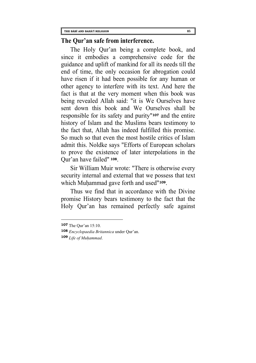### **The Qur'an safe from interference.**

The Holy Qur'an being a complete book, and since it embodies a comprehensive code for the guidance and uplift of mankind for all its needs till the end of time, the only occasion for abrogation could have risen if it had been possible for any human or other agency to interfere with its text. And here the fact is that at the very moment when this book was being revealed Allah said: "it is We Ourselves have sent down this book and We Ourselves shall be responsible for its safety and purity"**[107](#page-90-0)** and the entire history of Islam and the Muslims bears testimony to the fact that, Allah has indeed fulfilled this promise. So much so that even the most hostile critics of Islam admit this. Noldke says "Efforts of European scholars to prove the existence of later interpolations in the Qur'an have failed" **[108](#page-90-1)**.

Sir William Muir wrote: "There is otherwise every security internal and external that we possess that text which Muhammad gave forth and used"**[109](#page-90-2)**.

Thus we find that in accordance with the Divine promise History bears testimony to the fact that the Holy Qur'an has remained perfectly safe against

 $\overline{a}$ 

<span id="page-90-2"></span>**109** *Life of Muhammad*.

<span id="page-90-0"></span>**<sup>107</sup>** The Qur'an 15:10.

<span id="page-90-1"></span>**<sup>108</sup>** *Encyclopaedia Britannica* under Qur'an.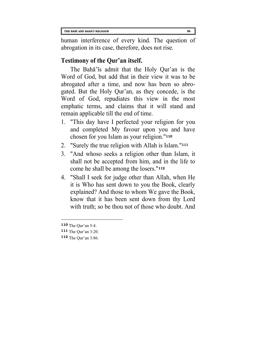human interference of every kind. The question of abrogation in its case, therefore, does not rise.

# **Testimony of the Qur'an itself.**

The Baha'is admit that the Holy Qur'an is the Word of God, but add that in their view it was to be abrogated after a time, and now has been so abrogated. But the Holy Qur'an, as they concede, is the Word of God, repudiates this view in the most emphatic terms, and claims that it will stand and remain applicable till the end of time.

- 1. "This day have I perfected your religion for you and completed My favour upon you and have chosen for you Islam as your religion."**[110](#page-91-0)**
- 2. "Surely the true religion with Allah is Islam."**[111](#page-91-1)**
- 3. "And whoso seeks a religion other than Islam, it shall not be accepted from him, and in the life to come he shall be among the losers."**[112](#page-91-2)**
- 4. "Shall I seek for judge other than Allah, when He it is Who has sent down to you the Book, clearly explained? And those to whom We gave the Book, know that it has been sent down from thy Lord with truth; so be thou not of those who doubt. And

 $\overline{a}$ 

<span id="page-91-2"></span>**112** The Qur'an 3:86.

<span id="page-91-0"></span>**<sup>110</sup>** The Qur'an 5:4.

<span id="page-91-1"></span>**<sup>111</sup>** The Qur'an 3:20.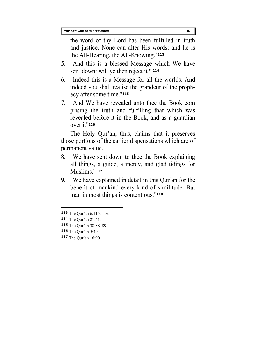the word of thy Lord has been fulfilled in truth and justice. None can alter His words: and he is the All-Hearing, the All-Knowing."**[113](#page-92-0)**

- 5. "And this is a blessed Message which We have sent down: will ye then reject it?"**[114](#page-92-1)**
- 6. "Indeed this is a Message for all the worlds. And indeed you shall realise the grandeur of the prophecy after some time."**[115](#page-92-2)**
- 7. "And We have revealed unto thee the Book com prising the truth and fulfilling that which was revealed before it in the Book, and as a guardian over it"**[116](#page-92-3)**

The Holy Qur'an, thus, claims that it preserves those portions of the earlier dispensations which are of permanent value.

- 8. "We have sent down to thee the Book explaining all things, a guide, a mercy, and glad tidings for Muslims."**[117](#page-92-4)**
- 9. "We have explained in detail in this Qur'an for the benefit of mankind every kind of similitude. But man in most things is contentious."**[118](#page-92-0)**

<span id="page-92-0"></span>**<sup>113</sup>** The Qur'an 6:115, 116.

<span id="page-92-1"></span>**<sup>114</sup>** The Qur'an 21:51.

<span id="page-92-2"></span>**<sup>115</sup>** The Qur'an 38:88, 89.

<span id="page-92-3"></span>**<sup>116</sup>** The Qur'an 5:49.

<span id="page-92-4"></span>**<sup>117</sup>** The Qur'an 16:90.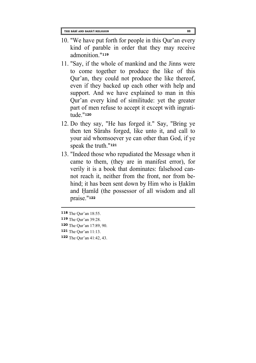- 10. "We have put forth for people in this Qur'an every kind of parable in order that they may receive admonition."**[119](#page-93-0)**
- 11. "Say, if the whole of mankind and the Jinns were to come together to produce the like of this Qur'an, they could not produce the like thereof, even if they backed up each other with help and support. And we have explained to man in this Qur'an every kind of similitude: yet the greater part of men refuse to accept it except with ingratitude."**[120](#page-93-1)**
- 12. Do they say, "He has forged it." Say, "Bring ye then ten Surahs forged, like unto it, and call to your aid whomsoever ye can other than God, if ye speak the truth."**[121](#page-93-2)**
- 13. "Indeed those who repudiated the Message when it came to them, (they are in manifest error), for verily it is a book that dominates: falsehood cannot reach it, neither from the front, nor from behind; it has been sent down by Him who is Hakim and Hamid (the possessor of all wisdom and all praise."**[122](#page-93-3)**

**<sup>118</sup>** The Qur'an 18:55.

<span id="page-93-0"></span>**<sup>119</sup>** The Qur'an 39:28.

<span id="page-93-1"></span>**<sup>120</sup>** The Qur'an 17:89, 90.

<span id="page-93-2"></span>**<sup>121</sup>** The Qur'an 11:13.

<span id="page-93-3"></span>**<sup>122</sup>** The Qur'an 41:42, 43.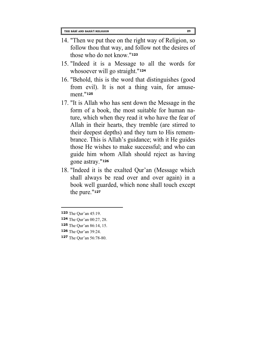- 14. "Then we put thee on the right way of Religion, so follow thou that way, and follow not the desires of those who do not know."**[123](#page-94-0)**
- 15. "Indeed it is a Message to all the words for whosoever will go straight."**[124](#page-94-1)**
- 16. "Behold, this is the word that distinguishes (good from evil). It is not a thing vain, for amusement."**[125](#page-94-2)**
- 17. "It is Allah who has sent down the Message in the form of a book, the most suitable for human nature, which when they read it who have the fear of Allah in their hearts, they tremble (are stirred to their deepest depths) and they turn to His remembrance. This is Allah's guidance; with it He guides those He wishes to make successful; and who can guide him whom Allah should reject as having gone astray."**[126](#page-94-3)**
- 18. "Indeed it is the exalted Qur'an (Message which shall always be read over and over again) in a book well guarded, which none shall touch except the pure."**[127](#page-94-4)**

- <span id="page-94-1"></span>**124** The Qur'an 00:27, 28.
- <span id="page-94-2"></span>**125** The Qur'an 86:14, 15.
- <span id="page-94-3"></span>**126** The Qur'an 39:24.
- <span id="page-94-4"></span>**127** The Qur'an 56:78-80.

<span id="page-94-0"></span>**<sup>123</sup>** The Qur'an 45:19.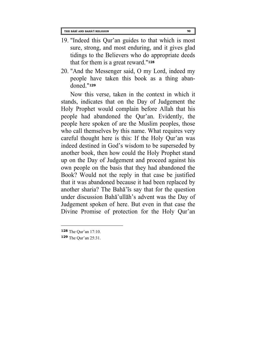- 19. "Indeed this Qur'an guides to that which is most sure, strong, and most enduring, and it gives glad tidings to the Believers who do appropriate deeds that for them is a great reward."**[128](#page-95-0)**
- 20. "And the Messenger said, O my Lord, indeed my people have taken this book as a thing abandoned."**[129](#page-95-1)**

Now this verse, taken in the context in which it stands, indicates that on the Day of Judgement the Holy Prophet would complain before Allah that his people had abandoned the Qur'an. Evidently, the people here spoken of are the Muslim peoples, those who call themselves by this name. What requires very careful thought here is this: If the Holy Qur'an was indeed destined in God's wisdom to be superseded by another book, then how could the Holy Prophet stand up on the Day of Judgement and proceed against his own people on the basis that they had abandoned the Book? Would not the reply in that case be justified that it was abandoned because it had been replaced by another sharia? The Baha'is say that for the question under discussion Baha'ullah's advent was the Day of Judgement spoken of here. But even in that case the Divine Promise of protection for the Holy Qur'an

<span id="page-95-0"></span>**<sup>128</sup>** The Qur'an 17:10.

<span id="page-95-1"></span>**<sup>129</sup>** The Qur'an 25:31.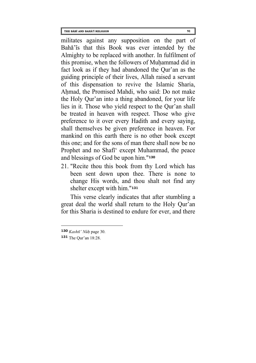**THE BĀBĪ AND BAHĀ'Ī RELIGION 91**

militates against any supposition on the part of Baha'is that this Book was ever intended by the Almighty to be replaced with another. In fulfilment of this promise, when the followers of Muhammad did in fact look as if they had abandoned the Qur'an as the guiding principle of their lives, Allah raised a servant of this dispensation to revive the Islamic Sharia, Ahmad, the Promised Mahdi, who said: Do not make the Holy Qur'an into a thing abandoned, for your life lies in it. Those who yield respect to the Qur'an shall be treated in heaven with respect. Those who give preference to it over every Hadith and every saying, shall themselves be given preference in heaven. For mankind on this earth there is no other book except this one; and for the sons of man there shall now be no Prophet and no Shafi' except Muhammad, the peace and blessings of God be upon him."**[130](#page-96-0)**

21. "Recite thou this book from thy Lord which has been sent down upon thee. There is none to change His words, and thou shalt not find any shelter except with him."**[131](#page-96-1)**

This verse clearly indicates that after stumbling a great deal the world shall return to the Holy Qur'an for this Sharia is destined to endure for ever, and there

<span id="page-96-0"></span>**<sup>130</sup>** *Kashti' Nuh* page 30.

<span id="page-96-1"></span>**<sup>131</sup>** The Qur'an 18:28.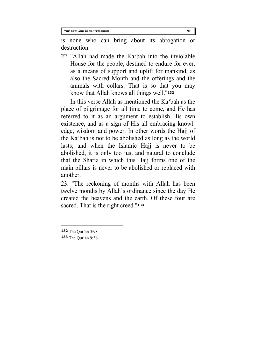is none who can bring about its abrogation or destruction.

22. "Allah had made the Ka'bah into the inviolable House for the people, destined to endure for ever, as a means of support and uplift for mankind, as also the Sacred Month and the offerings and the animals with collars. That is so that you may know that Allah knows all things well."**[132](#page-97-0)**

In this verse Allah as mentioned the Ka'bah as the place of pilgrimage for all time to come, and He has referred to it as an argument to establish His own existence, and as a sign of His all embracing knowledge, wisdom and power. In other words the Hajj of the Ka'bah is not to be abolished as long as the world lasts; and when the Islamic Hajj is never to be abolished, it is only too just and natural to conclude that the Sharia in which this Hajj forms one of the main pillars is never to be abolished or replaced with another.

23. "The reckoning of months with Allah has been twelve months by Allah's ordinance since the day He created the heavens and the earth. Of these four are sacred. That is the right creed."**[133](#page-97-1)**

<span id="page-97-0"></span>**<sup>132</sup>** The Qur'an 5:98.

<span id="page-97-1"></span>**<sup>133</sup>** The Qur'an 9:36.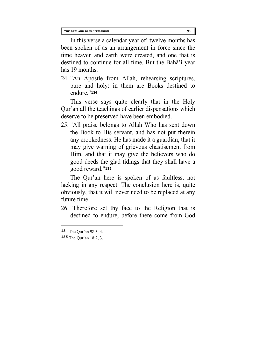In this verse a calendar year of' twelve months has been spoken of as an arrangement in force since the time heaven and earth were created, and one that is destined to continue for all time. But the Baha'i year has 19 months.

24. "An Apostle from Allah, rehearsing scriptures, pure and holy: in them are Books destined to endure."**[134](#page-98-0)**

This verse says quite clearly that in the Holy Qur'an all the teachings of earlier dispensations which deserve to be preserved have been embodied.

25. "All praise belongs to Allah Who has sent down the Book to His servant, and has not put therein any crookedness. He has made it a guardian, that it may give warning of grievous chastisement from Him, and that it may give the believers who do good deeds the glad tidings that they shall have a good reward."**[135](#page-98-1)**

The Qur'an here is spoken of as faultless, not lacking in any respect. The conclusion here is, quite obviously, that it will never need to be replaced at any future time.

26. "Therefore set thy face to the Religion that is destined to endure, before there come from God

<span id="page-98-0"></span>**<sup>134</sup>** The Qur'an 98:3, 4.

<span id="page-98-1"></span>**<sup>135</sup>** The Qur'an 18:2, 3.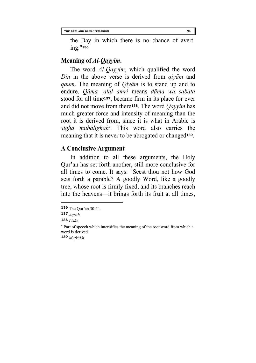the Day in which there is no chance of averting."**[136](#page-99-0)**

### **Meaning of** *Al-Qayyim***.**

The word *Al-Qayyim*, which qualified the word *Din* in the above verse is derived from *qiyam* and *qaum*. The meaning of *Qiyam* is to stand up and to endure. *Qama 'alal amri* means *dama wa sabata* stood for all time**[137](#page-99-1)**, became firm in its place for ever and did not move from there**[138](#page-99-2)**. The word *Qayyim* has much greater force and intensity of meaning than the root it is derived from, since it is what in Arabic is *sigha mubalighah[\\*](#page-99-3)*. This word also carries the meaning that it is never to be abrogated or changed**[139](#page-99-4)**.

## **A Conclusive Argument**

In addition to all these arguments, the Holy Qur'an has set forth another, still more conclusive for all times to come. It says: "Seest thou not how God sets forth a parable? A goodly Word, like a goodly tree, whose root is firmly fixed, and its branches reach into the heavens—it brings forth its fruit at all times,

 $\overline{a}$ 

<span id="page-99-4"></span>**139** *Mufridat*.

<span id="page-99-0"></span>**<sup>136</sup>** The Qur'an 30:44.

<span id="page-99-1"></span>**<sup>137</sup>** *Aqrab.*

<span id="page-99-2"></span>**<sup>138</sup>** *Lisan.*

<span id="page-99-3"></span>**<sup>\*</sup>** Part of speech which intensifies the meaning of the root word from which a word is derived.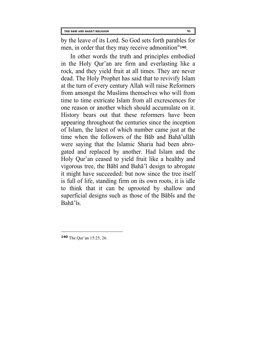by the leave of its Lord. So God sets forth parables for men, in order that they may receive admonition"**[140](#page-100-0)**.

<span id="page-100-0"></span>In other words the truth and principles embodied in the Holy Qur'an are firm and everlasting like a rock, and they yield fruit at all times. They are never dead. The Holy Prophet has said that to revivify Islam at the turn of every century Allah will raise Reformers from amongst the Muslims themselves who will from time to time extricate Islam from all excrescences for one reason or another which should accumulate on it. History bears out that these reformers have been appearing throughout the centuries since the inception of Islam, the latest of which number came just at the time when the followers of the Bab and Baha'ullah were saying that the Islamic Sharia had been abrogated and replaced by another. Had Islam and the Holy Qur'an ceased to yield fruit like a healthy and vigorous tree, the Babi and Baha'i design to abrogate it might have succeeded: but now since the tree itself is full of life, standing firm on its own roots, it is idle to think that it can be uprooted by shallow and superficial designs such as those of the Babis and the Baha'is.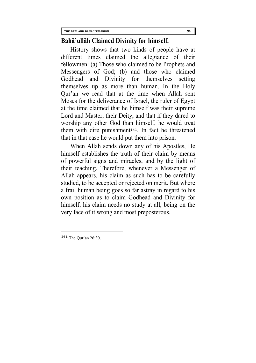#### **Baha'ullah Claimed Divinity for himself.**

History shows that two kinds of people have at different times claimed the allegiance of their fellowmen: (a) Those who claimed to be Prophets and Messengers of God; (b) and those who claimed Godhead and Divinity for themselves setting themselves up as more than human. In the Holy Qur'an we read that at the time when Allah sent Moses for the deliverance of Israel, the ruler of Egypt at the time claimed that he himself was their supreme Lord and Master, their Deity, and that if they dared to worship any other God than himself, he would treat them with dire punishment**[141](#page-101-0)**. In fact he threatened that in that case he would put them into prison.

When Allah sends down any of his Apostles, He himself establishes the truth of their claim by means of powerful signs and miracles, and by the light of their teaching. Therefore, whenever a Messenger of Allah appears, his claim as such has to be carefully studied, to be accepted or rejected on merit. But where a frail human being goes so far astray in regard to his own position as to claim Godhead and Divinity for himself, his claim needs no study at all, being on the very face of it wrong and most preposterous.

<span id="page-101-0"></span>**<sup>141</sup>** The Qur'an 26:30.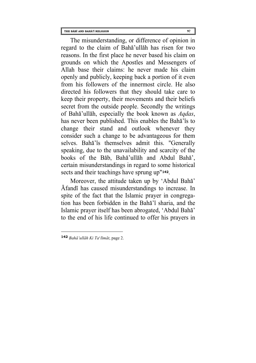The misunderstanding, or difference of opinion in regard to the claim of Baha'ullah has risen for two reasons. In the first place he never based his claim on grounds on which the Apostles and Messengers of Allah base their claims: he never made his claim openly and publicly, keeping back a portion of it even from his followers of the innermost circle. He also directed his followers that they should take care to keep their property, their movements and their beliefs secret from the outside people. Secondly the writings of Baha'ullah, especially the book known as *Aqdas*, has never been published. This enables the Baha'is to change their stand and outlook whenever they consider such a change to be advantageous for them selves. Bahā'īs themselves admit this. "Generally speaking, due to the unavailability and scarcity of the books of the Bab, Baha'ullah and Abdul Baha', certain misunderstandings in regard to some historical sects and their teachings have sprung up"**[142](#page-102-0)**.

Moreover, the attitude taken up by 'Abdul Baha' Afandi has caused misunderstandings to increase. In spite of the fact that the Islamic prayer in congregation has been forbidden in the Baha'i sharia, and the Islamic prayer itself has been abrogated, 'Abdul Baha' to the end of his life continued to offer his prayers in

<span id="page-102-0"></span>**<sup>142</sup>** *Baha'ullah Ki Ta*'*limat*, page 2.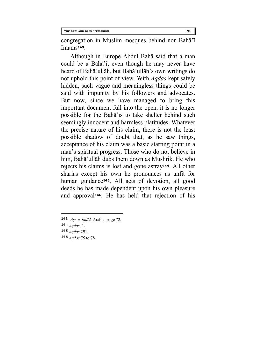congregation in Muslim mosques behind non-Baha'i Imams**[143](#page-103-0)**.

Although in Europe Abdul Baha said that a man could be a Baha'i, even though he may never have heard of Baha'ullah, but Baha'ullah's own writings do not uphold this point of view. With *Aqdas* kept safely hidden, such vague and meaningless things could be said with impunity by his followers and advocates. But now, since we have managed to bring this important document full into the open, it is no longer possible for the Baha'is to take shelter behind such seemingly innocent and harmless platitudes. Whatever the precise nature of his claim, there is not the least possible shadow of doubt that, as he saw things, acceptance of his claim was a basic starting point in a man's spiritual progress. Those who do not believe in him, Baha'ullah dubs them down as Mushrik. He who rejects his claims is lost and gone astray**[144](#page-103-1)**. All other sharias except his own he pronounces as unfit for human guidance**[145](#page-103-2)**. All acts of devotion, all good deeds he has made dependent upon his own pleasure and approval**[146](#page-103-3)**. He has held that rejection of his

<span id="page-103-1"></span>**144** *Aqdas*, 1.

- <span id="page-103-2"></span>**145** *Aqdas* 291.
- <span id="page-103-3"></span>**146** *Aqdas* 75 to 78.

<span id="page-103-0"></span>**<sup>143</sup>** *'Asr-e-Jadid*, Arabic, page 72.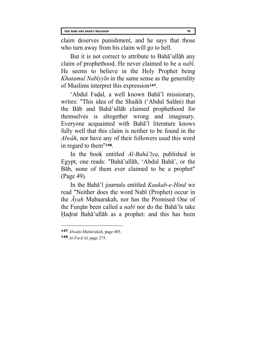claim deserves punishment, and he says that those who turn away from his claim will go to hell.

But it is not correct to attribute to Baha'ullah any claim of prophethood. He never claimed to be a *nabi*. He seems to believe in the Holy Prophet being *Khatamul Nabiyyin* in the same sense as the generality of Muslims interpret this expression**[147](#page-104-0)**.

'Abdul Fadal, a well known Baha'i missionary, writes: "This idea of the Shaikh ('Abdul Salam) that the Bab and Baha'ullah claimed prophethood for themselves is altogether wrong and imaginary. Everyone acquainted with Baha'i literature knows fully well that this claim is neither to be found in the *Alwah*, nor have any of their followers used this word in regard to them"**[148](#page-104-1)**.

In the book entitled *Al-Baha'iya*, published in Egypt, one reads: "Baha'ullah, 'Abdul Baha', or the Bab, none of them ever claimed to be a prophet" (Page 49).

In the Baha'i journals entitled *Kaukab-e-Hind* we read "Neither does the word Nabi (Prophet) occur in the *Ayah* Mubaarakah, nor has the Promised One of the Furqan been called a *nabi* nor do the Baha'is take Hadrat Baha'ullah as a prophet: and this has been

<span id="page-104-0"></span>**<sup>147</sup>** *Alwahi*-*Mubarakah*, page 405.

<span id="page-104-1"></span>**<sup>148</sup>** *Al-Fara'id*, page 275.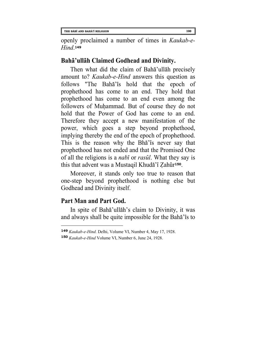openly proclaimed a number of times in *Kaukab-e-Hind*.**[149](#page-105-0)**

### **Baha'ullah Claimed Godhead and Divinity.**

Then what did the claim of Baha'ullah precisely amount to? *Kaukab-e-Hind* answers this question as follows "The Baha'is hold that the epoch of prophethood has come to an end. They hold that prophethood has come to an end even among the followers of Muhammad. But of course they do not hold that the Power of God has come to an end. Therefore they accept a new manifestation of the power, which goes a step beyond prophethood, implying thereby the end of the epoch of prophethood. This is the reason why the Bha'is never say that prophethood has not ended and that the Promised One of all the religions is a *nabi* or *rasul*. What they say is this that advent was a Mustaqil Khuda'i Zahur**[150](#page-105-1)**.

Moreover, it stands only too true to reason that one-step beyond prophethood is nothing else but Godhead and Divinity itself.

### **Part Man and Part God.**

l

In spite of Baha'ullah's claim to Divinity, it was and always shall be quite impossible for the Baha'is to

<span id="page-105-0"></span>**<sup>149</sup>** *Kaukab-e-Hind.* Delhi, Volume VI, Number 4, May 17, 1928.

<span id="page-105-1"></span>**<sup>150</sup>** *Kaukab-e-Hind* Volume VI, Number 6, June 24, 1928.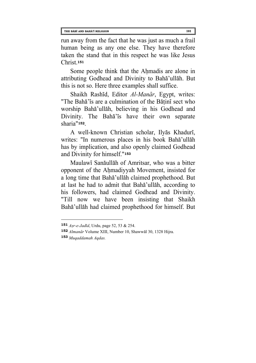run away from the fact that he was just as much a frail human being as any one else. They have therefore taken the stand that in this respect he was like Jesus Christ.**[151](#page-106-0)**

Some people think that the Ahmadis are alone in attributing Godhead and Divinity to Baha'ullah. But this is not so. Here three examples shall suffice.

Shaikh Rashid, Editor *Al-Manar*, Egypt, writes: "The Baha'is are a culmination of the Batini sect who worship Baha'ullah, believing in his Godhead and Divinity. The Baha'is have their own separate sharia"**[152](#page-106-1)**.

A well-known Christian scholar, Ilyas Khaduri, writes: "In numerous places in his book Baha'ullah has by implication, and also openly claimed Godhead and Divinity for himself."**[153](#page-106-2)**

Maulawi Sanaullah of Amritsar, who was a bitter opponent of the Ahmadiyyah Movement, insisted for a long time that Baha'ullah claimed prophethood. But at last he had to admit that Baha'ullah, according to his followers, had claimed Godhead and Divinity. "Till now we have been insisting that Shaikh Baha'ullah had claimed prophethood for himself. But

<span id="page-106-2"></span>**153** *Muqaddamah Aqdas.*

<span id="page-106-0"></span>**<sup>151</sup>** *Asr-e-Jadid*, Urdu, page 52, 53 & 254.

<span id="page-106-1"></span>**<sup>152</sup>** *Almanar* Volume XIII, Number 10, Shawwal 30, 1328 Hijra.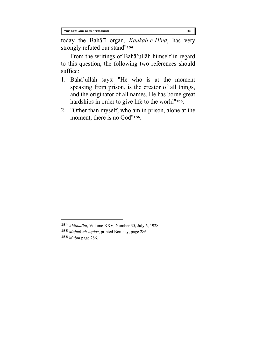today the Baha'i organ, *Kaukab-e-Hind*, has very strongly refuted our stand"**[154](#page-107-0)**

From the writings of Baha'ullah himself in regard to this question, the following two references should suffice:

- 1. Baha'ullah says: "He who is at the moment speaking from prison, is the creator of all things, and the originator of all names. He has borne great hardships in order to give life to the world"**[155](#page-107-1)**.
- 2. "Other than myself, who am in prison, alone at the moment, there is no God"**[156](#page-107-2)**.

<span id="page-107-0"></span>**<sup>154</sup>** *Ahlihadith*, Volume XXV, Number 35, July 6, 1928.

<span id="page-107-1"></span>**<sup>155</sup>** *Majmu'ah Aqdas*, printed Bombay, page 286.

<span id="page-107-2"></span>**<sup>156</sup>** *Mubin* page 286.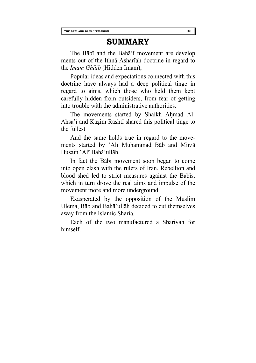## **SUMMARY**

The Babi and the Baha'i movement are develop ments out of the Ithna Ashariah doctrine in regard to the *Imam Ghaib* (Hidden Imam),

Popular ideas and expectations connected with this doctrine have always had a deep political tinge in regard to aims, which those who held them kept carefully hidden from outsiders, from fear of getting into trouble with the administrative authorities.

The movements started by Shaikh Ahmad Al-Ahsa'i and Kazim Rashti shared this political tinge to the fullest

And the same holds true in regard to the movements started by 'Ali Muhammad Bab and Mirza Husain 'Ali Baha'ullah.

In fact the Babi movement soon began to come into open clash with the rulers of Iran. Rebellion and blood shed led to strict measures against the Babis. which in turn drove the real aims and impulse of the movement more and more underground.

Exasperated by the opposition of the Muslim Ulema, Bab and Baha'ullah decided to cut themselves away from the Islamic Sharia.

Each of the two manufactured a Sbariyah for himself.